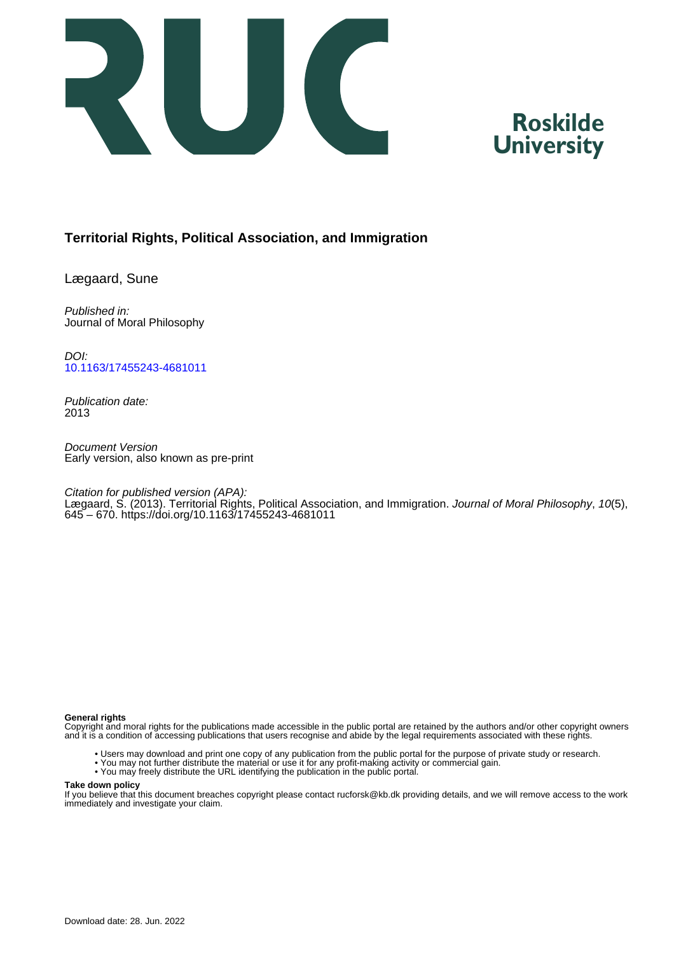

# **Roskilde University**

### **Territorial Rights, Political Association, and Immigration**

Lægaard, Sune

Published in: Journal of Moral Philosophy

DOI: [10.1163/17455243-4681011](https://doi.org/10.1163/17455243-4681011)

Publication date: 2013

Document Version Early version, also known as pre-print

Citation for published version (APA):

Lægaard, S. (2013). Territorial Rights, Political Association, and Immigration. Journal of Moral Philosophy, 10(5), 645 – 670.<https://doi.org/10.1163/17455243-4681011>

#### **General rights**

Copyright and moral rights for the publications made accessible in the public portal are retained by the authors and/or other copyright owners and it is a condition of accessing publications that users recognise and abide by the legal requirements associated with these rights.

- Users may download and print one copy of any publication from the public portal for the purpose of private study or research.
- You may not further distribute the material or use it for any profit-making activity or commercial gain.
- You may freely distribute the URL identifying the publication in the public portal.

#### **Take down policy**

If you believe that this document breaches copyright please contact rucforsk@kb.dk providing details, and we will remove access to the work immediately and investigate your claim.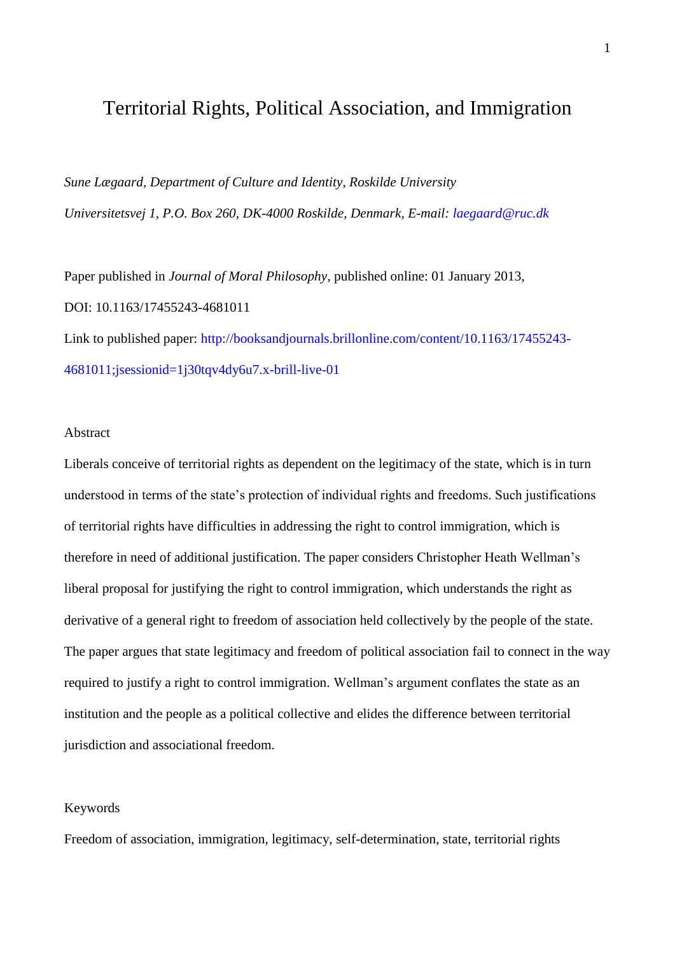## Territorial Rights, Political Association, and Immigration

*Sune Lægaard, Department of Culture and Identity, Roskilde University Universitetsvej 1, P.O. Box 260, DK-4000 Roskilde, Denmark, E-mail: [laegaard@ruc.dk](mailto:laegaard@ruc.dk)*

Paper published in *Journal of Moral Philosophy*, published online: 01 January 2013, DOI: 10.1163/17455243-4681011 Link to published paper: [http://booksandjournals.brillonline.com/content/10.1163/17455243-](http://booksandjournals.brillonline.com/content/10.1163/17455243-4681011;jsessionid=1j30tqv4dy6u7.x-brill-live-01) [4681011;jsessionid=1j30tqv4dy6u7.x-brill-live-01](http://booksandjournals.brillonline.com/content/10.1163/17455243-4681011;jsessionid=1j30tqv4dy6u7.x-brill-live-01)

#### Abstract

Liberals conceive of territorial rights as dependent on the legitimacy of the state, which is in turn understood in terms of the state's protection of individual rights and freedoms. Such justifications of territorial rights have difficulties in addressing the right to control immigration, which is therefore in need of additional justification. The paper considers Christopher Heath Wellman's liberal proposal for justifying the right to control immigration, which understands the right as derivative of a general right to freedom of association held collectively by the people of the state. The paper argues that state legitimacy and freedom of political association fail to connect in the way required to justify a right to control immigration. Wellman's argument conflates the state as an institution and the people as a political collective and elides the difference between territorial jurisdiction and associational freedom.

#### Keywords

Freedom of association, immigration, legitimacy, self-determination, state, territorial rights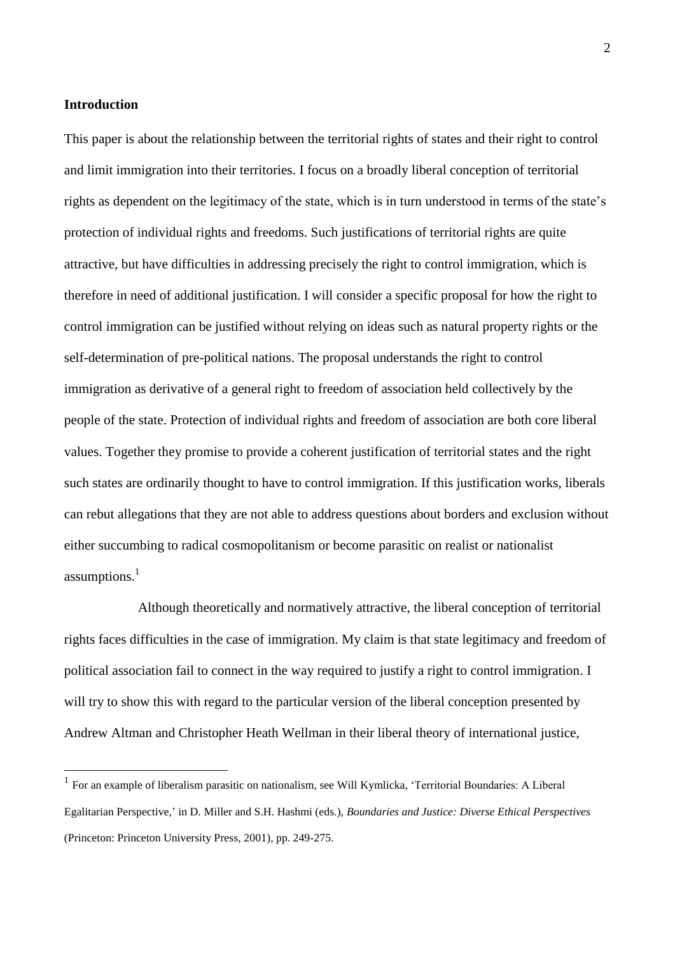#### **Introduction**

1

This paper is about the relationship between the territorial rights of states and their right to control and limit immigration into their territories. I focus on a broadly liberal conception of territorial rights as dependent on the legitimacy of the state, which is in turn understood in terms of the state's protection of individual rights and freedoms. Such justifications of territorial rights are quite attractive, but have difficulties in addressing precisely the right to control immigration, which is therefore in need of additional justification. I will consider a specific proposal for how the right to control immigration can be justified without relying on ideas such as natural property rights or the self-determination of pre-political nations. The proposal understands the right to control immigration as derivative of a general right to freedom of association held collectively by the people of the state. Protection of individual rights and freedom of association are both core liberal values. Together they promise to provide a coherent justification of territorial states and the right such states are ordinarily thought to have to control immigration. If this justification works, liberals can rebut allegations that they are not able to address questions about borders and exclusion without either succumbing to radical cosmopolitanism or become parasitic on realist or nationalist assumptions. $<sup>1</sup>$ </sup>

Although theoretically and normatively attractive, the liberal conception of territorial rights faces difficulties in the case of immigration. My claim is that state legitimacy and freedom of political association fail to connect in the way required to justify a right to control immigration. I will try to show this with regard to the particular version of the liberal conception presented by Andrew Altman and Christopher Heath Wellman in their liberal theory of international justice,

<sup>&</sup>lt;sup>1</sup> For an example of liberalism parasitic on nationalism, see Will Kymlicka, 'Territorial Boundaries: A Liberal Egalitarian Perspective,' in D. Miller and S.H. Hashmi (eds.), *Boundaries and Justice: Diverse Ethical Perspectives* (Princeton: Princeton University Press, 2001), pp. 249-275.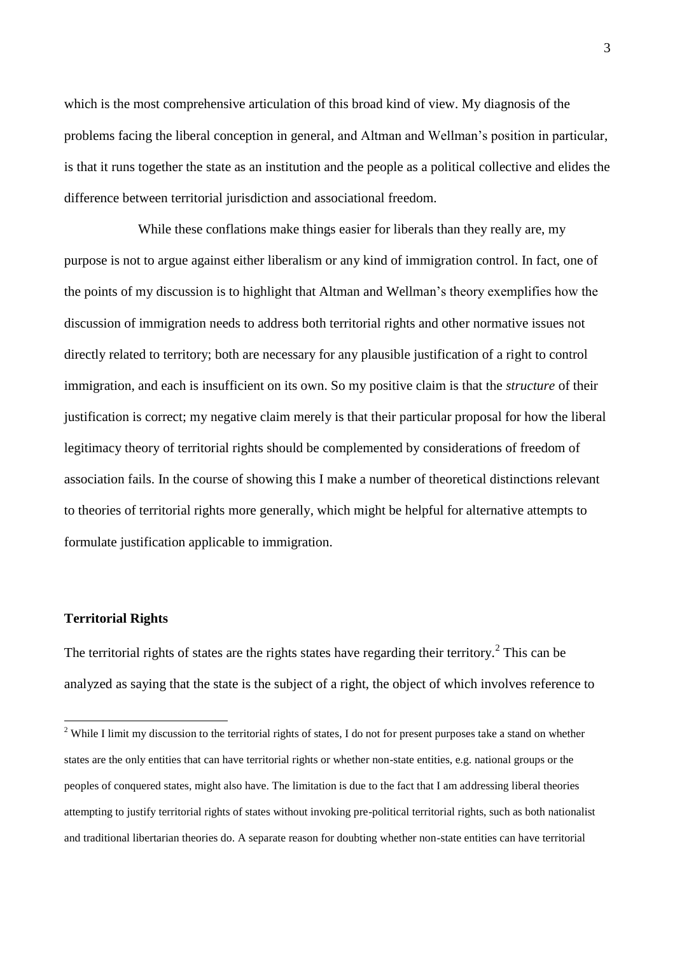which is the most comprehensive articulation of this broad kind of view. My diagnosis of the problems facing the liberal conception in general, and Altman and Wellman's position in particular, is that it runs together the state as an institution and the people as a political collective and elides the difference between territorial jurisdiction and associational freedom.

While these conflations make things easier for liberals than they really are, my purpose is not to argue against either liberalism or any kind of immigration control. In fact, one of the points of my discussion is to highlight that Altman and Wellman's theory exemplifies how the discussion of immigration needs to address both territorial rights and other normative issues not directly related to territory; both are necessary for any plausible justification of a right to control immigration, and each is insufficient on its own. So my positive claim is that the *structure* of their justification is correct; my negative claim merely is that their particular proposal for how the liberal legitimacy theory of territorial rights should be complemented by considerations of freedom of association fails. In the course of showing this I make a number of theoretical distinctions relevant to theories of territorial rights more generally, which might be helpful for alternative attempts to formulate justification applicable to immigration.

### **Territorial Rights**

1

The territorial rights of states are the rights states have regarding their territory.<sup>2</sup> This can be analyzed as saying that the state is the subject of a right, the object of which involves reference to

 $2$  While I limit my discussion to the territorial rights of states, I do not for present purposes take a stand on whether states are the only entities that can have territorial rights or whether non-state entities, e.g. national groups or the peoples of conquered states, might also have. The limitation is due to the fact that I am addressing liberal theories attempting to justify territorial rights of states without invoking pre-political territorial rights, such as both nationalist and traditional libertarian theories do. A separate reason for doubting whether non-state entities can have territorial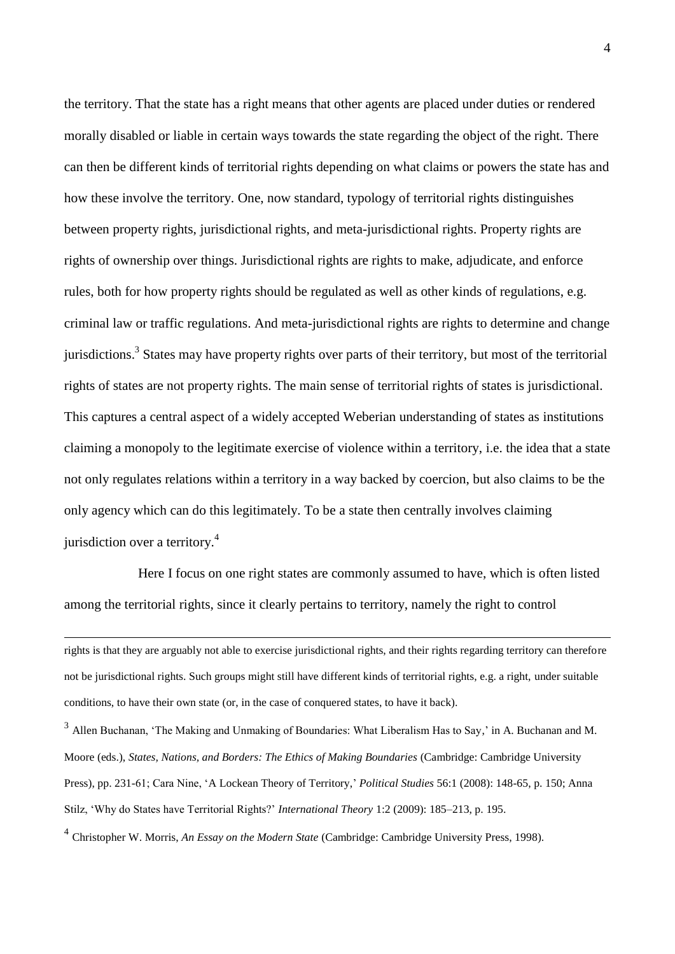the territory. That the state has a right means that other agents are placed under duties or rendered morally disabled or liable in certain ways towards the state regarding the object of the right. There can then be different kinds of territorial rights depending on what claims or powers the state has and how these involve the territory. One, now standard, typology of territorial rights distinguishes between property rights, jurisdictional rights, and meta-jurisdictional rights. Property rights are rights of ownership over things. Jurisdictional rights are rights to make, adjudicate, and enforce rules, both for how property rights should be regulated as well as other kinds of regulations, e.g. criminal law or traffic regulations. And meta-jurisdictional rights are rights to determine and change jurisdictions.<sup>3</sup> States may have property rights over parts of their territory, but most of the territorial rights of states are not property rights. The main sense of territorial rights of states is jurisdictional. This captures a central aspect of a widely accepted Weberian understanding of states as institutions claiming a monopoly to the legitimate exercise of violence within a territory, i.e. the idea that a state not only regulates relations within a territory in a way backed by coercion, but also claims to be the only agency which can do this legitimately. To be a state then centrally involves claiming jurisdiction over a territory.<sup>4</sup>

Here I focus on one right states are commonly assumed to have, which is often listed among the territorial rights, since it clearly pertains to territory, namely the right to control

1

4 Christopher W. Morris, *An Essay on the Modern State* (Cambridge: Cambridge University Press, 1998).

rights is that they are arguably not able to exercise jurisdictional rights, and their rights regarding territory can therefore not be jurisdictional rights. Such groups might still have different kinds of territorial rights, e.g. a right, under suitable conditions, to have their own state (or, in the case of conquered states, to have it back).

<sup>&</sup>lt;sup>3</sup> Allen Buchanan, 'The Making and Unmaking of Boundaries: What Liberalism Has to Say,' in A. Buchanan and M. Moore (eds.), *States, Nations, and Borders: The Ethics of Making Boundaries* (Cambridge: Cambridge University Press), pp. 231-61; Cara Nine, 'A Lockean Theory of Territory,' *Political Studies* 56:1 (2008): 148-65, p. 150; Anna Stilz, 'Why do States have Territorial Rights?' *International Theory* 1:2 (2009): 185–213, p. 195.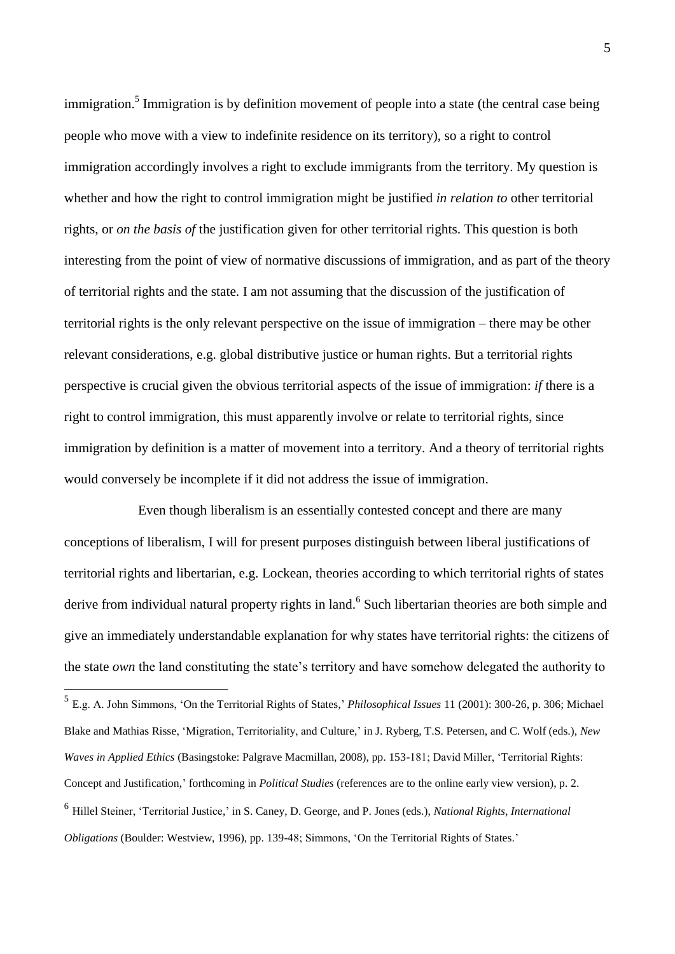immigration.<sup>5</sup> Immigration is by definition movement of people into a state (the central case being people who move with a view to indefinite residence on its territory), so a right to control immigration accordingly involves a right to exclude immigrants from the territory. My question is whether and how the right to control immigration might be justified *in relation to* other territorial rights, or *on the basis of* the justification given for other territorial rights. This question is both interesting from the point of view of normative discussions of immigration, and as part of the theory of territorial rights and the state. I am not assuming that the discussion of the justification of territorial rights is the only relevant perspective on the issue of immigration – there may be other relevant considerations, e.g. global distributive justice or human rights. But a territorial rights perspective is crucial given the obvious territorial aspects of the issue of immigration: *if* there is a right to control immigration, this must apparently involve or relate to territorial rights, since immigration by definition is a matter of movement into a territory. And a theory of territorial rights would conversely be incomplete if it did not address the issue of immigration.

Even though liberalism is an essentially contested concept and there are many conceptions of liberalism, I will for present purposes distinguish between liberal justifications of territorial rights and libertarian, e.g. Lockean, theories according to which territorial rights of states derive from individual natural property rights in land.<sup>6</sup> Such libertarian theories are both simple and give an immediately understandable explanation for why states have territorial rights: the citizens of the state *own* the land constituting the state's territory and have somehow delegated the authority to

 5 E.g. A. John Simmons, 'On the Territorial Rights of States,' *Philosophical Issues* 11 (2001): 300-26, p. 306; Michael Blake and Mathias Risse, 'Migration, Territoriality, and Culture,' in J. Ryberg, T.S. Petersen, and C. Wolf (eds.), *New Waves in Applied Ethics* (Basingstoke: Palgrave Macmillan, 2008), pp. 153-181; David Miller, 'Territorial Rights: Concept and Justification,' forthcoming in *Political Studies* (references are to the online early view version), p. 2.

<sup>6</sup> Hillel Steiner, 'Territorial Justice,' in S. Caney, D. George, and P. Jones (eds.), *National Rights, International Obligations* (Boulder: Westview, 1996), pp. 139-48; Simmons, 'On the Territorial Rights of States.'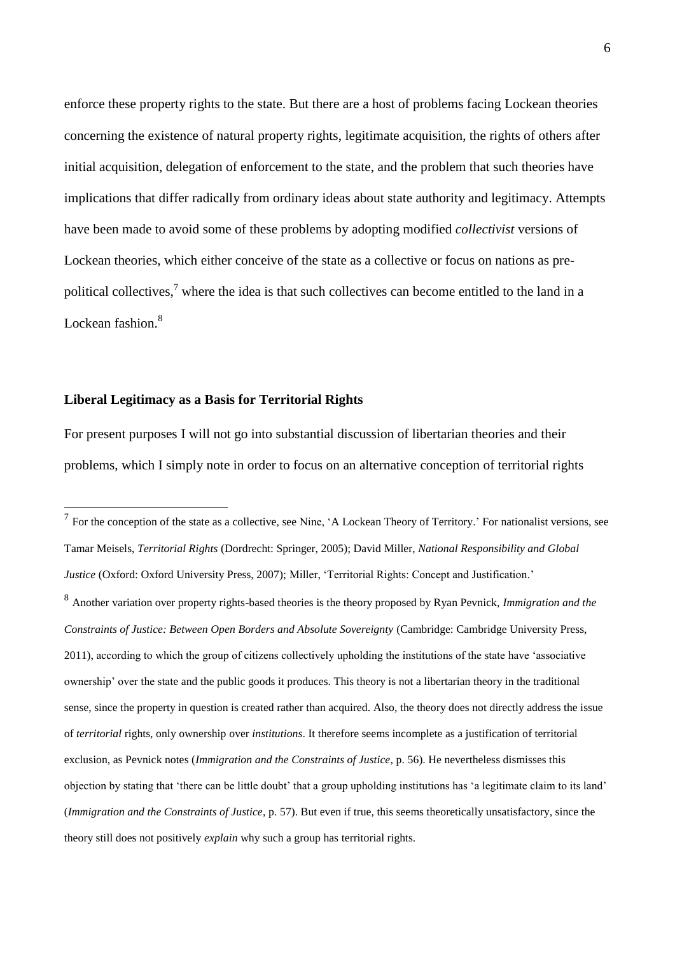enforce these property rights to the state. But there are a host of problems facing Lockean theories concerning the existence of natural property rights, legitimate acquisition, the rights of others after initial acquisition, delegation of enforcement to the state, and the problem that such theories have implications that differ radically from ordinary ideas about state authority and legitimacy. Attempts have been made to avoid some of these problems by adopting modified *collectivist* versions of Lockean theories, which either conceive of the state as a collective or focus on nations as prepolitical collectives,<sup>7</sup> where the idea is that such collectives can become entitled to the land in a Lockean fashion.<sup>8</sup>

#### **Liberal Legitimacy as a Basis for Territorial Rights**

1

For present purposes I will not go into substantial discussion of libertarian theories and their problems, which I simply note in order to focus on an alternative conception of territorial rights

 $<sup>7</sup>$  For the conception of the state as a collective, see Nine, 'A Lockean Theory of Territory.' For nationalist versions, see</sup> Tamar Meisels, *Territorial Rights* (Dordrecht: Springer, 2005); David Miller, *National Responsibility and Global Justice* (Oxford: Oxford University Press, 2007); Miller, 'Territorial Rights: Concept and Justification.' 8 Another variation over property rights-based theories is the theory proposed by Ryan Pevnick, *Immigration and the Constraints of Justice: Between Open Borders and Absolute Sovereignty* (Cambridge: Cambridge University Press, 2011), according to which the group of citizens collectively upholding the institutions of the state have 'associative ownership' over the state and the public goods it produces. This theory is not a libertarian theory in the traditional sense, since the property in question is created rather than acquired. Also, the theory does not directly address the issue of *territorial* rights, only ownership over *institutions*. It therefore seems incomplete as a justification of territorial exclusion, as Pevnick notes (*Immigration and the Constraints of Justice*, p. 56). He nevertheless dismisses this objection by stating that 'there can be little doubt' that a group upholding institutions has 'a legitimate claim to its land' (*Immigration and the Constraints of Justice*, p. 57). But even if true, this seems theoretically unsatisfactory, since the theory still does not positively *explain* why such a group has territorial rights.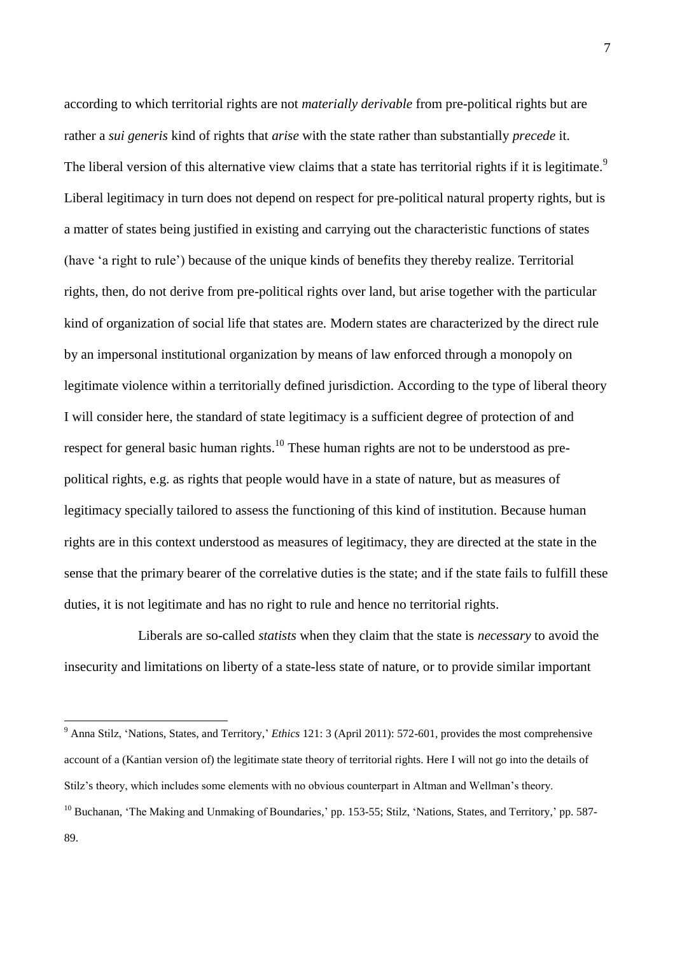according to which territorial rights are not *materially derivable* from pre-political rights but are rather a *sui generis* kind of rights that *arise* with the state rather than substantially *precede* it. The liberal version of this alternative view claims that a state has territorial rights if it is legitimate.<sup>9</sup> Liberal legitimacy in turn does not depend on respect for pre-political natural property rights, but is a matter of states being justified in existing and carrying out the characteristic functions of states (have 'a right to rule') because of the unique kinds of benefits they thereby realize. Territorial rights, then, do not derive from pre-political rights over land, but arise together with the particular kind of organization of social life that states are. Modern states are characterized by the direct rule by an impersonal institutional organization by means of law enforced through a monopoly on legitimate violence within a territorially defined jurisdiction. According to the type of liberal theory I will consider here, the standard of state legitimacy is a sufficient degree of protection of and respect for general basic human rights.<sup>10</sup> These human rights are not to be understood as prepolitical rights, e.g. as rights that people would have in a state of nature, but as measures of legitimacy specially tailored to assess the functioning of this kind of institution. Because human rights are in this context understood as measures of legitimacy, they are directed at the state in the sense that the primary bearer of the correlative duties is the state; and if the state fails to fulfill these duties, it is not legitimate and has no right to rule and hence no territorial rights.

Liberals are so-called *statists* when they claim that the state is *necessary* to avoid the insecurity and limitations on liberty of a state-less state of nature, or to provide similar important

<sup>&</sup>lt;sup>9</sup> Anna Stilz, 'Nations, States, and Territory,' *Ethics* 121: 3 (April 2011): 572-601, provides the most comprehensive account of a (Kantian version of) the legitimate state theory of territorial rights. Here I will not go into the details of Stilz's theory, which includes some elements with no obvious counterpart in Altman and Wellman's theory.

<sup>&</sup>lt;sup>10</sup> Buchanan, 'The Making and Unmaking of Boundaries,' pp. 153-55; Stilz, 'Nations, States, and Territory,' pp. 587-89.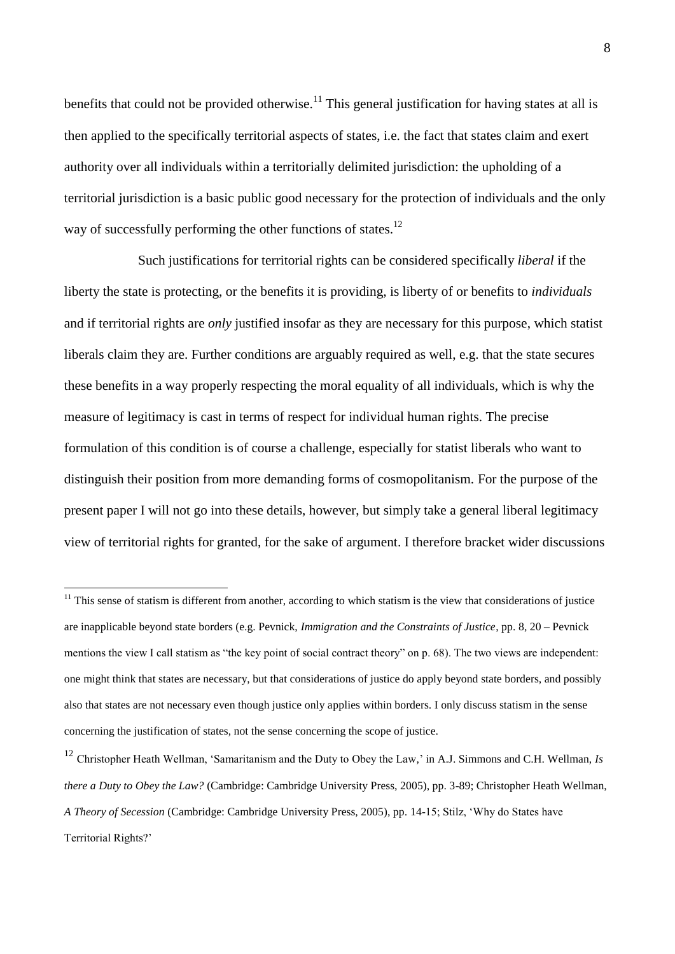benefits that could not be provided otherwise.<sup>11</sup> This general justification for having states at all is then applied to the specifically territorial aspects of states, i.e. the fact that states claim and exert authority over all individuals within a territorially delimited jurisdiction: the upholding of a territorial jurisdiction is a basic public good necessary for the protection of individuals and the only way of successfully performing the other functions of states.<sup>12</sup>

Such justifications for territorial rights can be considered specifically *liberal* if the liberty the state is protecting, or the benefits it is providing, is liberty of or benefits to *individuals* and if territorial rights are *only* justified insofar as they are necessary for this purpose, which statist liberals claim they are. Further conditions are arguably required as well, e.g. that the state secures these benefits in a way properly respecting the moral equality of all individuals, which is why the measure of legitimacy is cast in terms of respect for individual human rights. The precise formulation of this condition is of course a challenge, especially for statist liberals who want to distinguish their position from more demanding forms of cosmopolitanism. For the purpose of the present paper I will not go into these details, however, but simply take a general liberal legitimacy view of territorial rights for granted, for the sake of argument. I therefore bracket wider discussions

 $11$  This sense of statism is different from another, according to which statism is the view that considerations of justice are inapplicable beyond state borders (e.g. Pevnick, *Immigration and the Constraints of Justice*, pp. 8, 20 – Pevnick mentions the view I call statism as "the key point of social contract theory" on p. 68). The two views are independent: one might think that states are necessary, but that considerations of justice do apply beyond state borders, and possibly also that states are not necessary even though justice only applies within borders. I only discuss statism in the sense concerning the justification of states, not the sense concerning the scope of justice.

<sup>&</sup>lt;sup>12</sup> Christopher Heath Wellman, 'Samaritanism and the Duty to Obey the Law,' in A.J. Simmons and C.H. Wellman, *Is there a Duty to Obey the Law?* (Cambridge: Cambridge University Press, 2005), pp. 3-89; Christopher Heath Wellman, *A Theory of Secession* (Cambridge: Cambridge University Press, 2005), pp. 14-15; Stilz, 'Why do States have Territorial Rights?'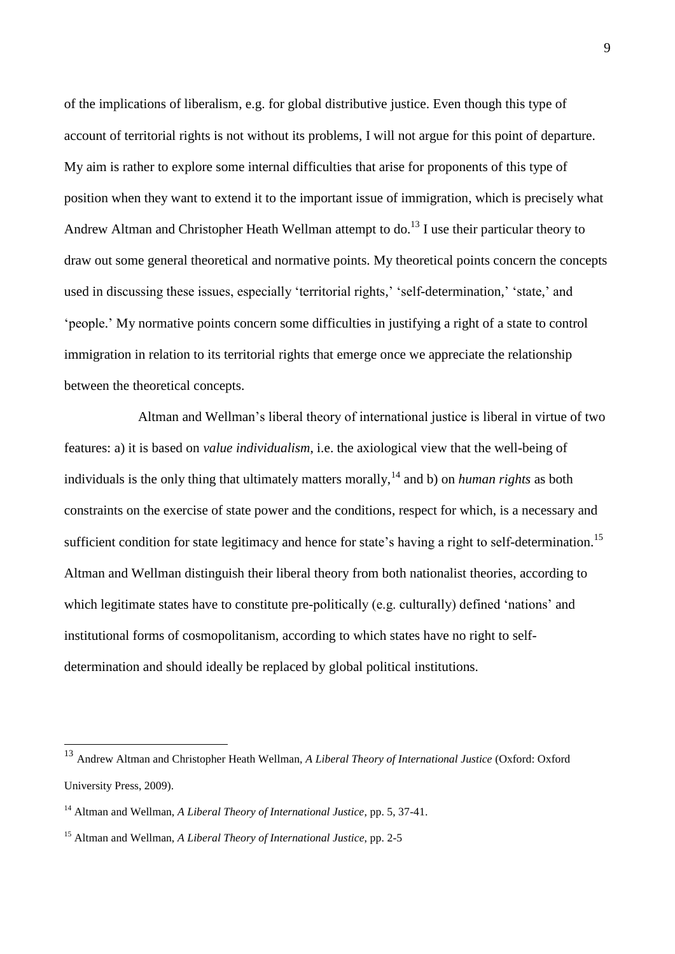of the implications of liberalism, e.g. for global distributive justice. Even though this type of account of territorial rights is not without its problems, I will not argue for this point of departure. My aim is rather to explore some internal difficulties that arise for proponents of this type of position when they want to extend it to the important issue of immigration, which is precisely what Andrew Altman and Christopher Heath Wellman attempt to do.<sup>13</sup> I use their particular theory to draw out some general theoretical and normative points. My theoretical points concern the concepts used in discussing these issues, especially 'territorial rights,' 'self-determination,' 'state,' and 'people.' My normative points concern some difficulties in justifying a right of a state to control immigration in relation to its territorial rights that emerge once we appreciate the relationship between the theoretical concepts.

Altman and Wellman's liberal theory of international justice is liberal in virtue of two features: a) it is based on *value individualism*, i.e. the axiological view that the well-being of individuals is the only thing that ultimately matters morally,<sup>14</sup> and b) on *human rights* as both constraints on the exercise of state power and the conditions, respect for which, is a necessary and sufficient condition for state legitimacy and hence for state's having a right to self-determination.<sup>15</sup> Altman and Wellman distinguish their liberal theory from both nationalist theories, according to which legitimate states have to constitute pre-politically (e.g. culturally) defined 'nations' and institutional forms of cosmopolitanism, according to which states have no right to selfdetermination and should ideally be replaced by global political institutions.

<sup>13</sup> Andrew Altman and Christopher Heath Wellman, *A Liberal Theory of International Justice* (Oxford: Oxford University Press, 2009).

<sup>14</sup> Altman and Wellman, *A Liberal Theory of International Justice*, pp. 5, 37-41.

<sup>15</sup> Altman and Wellman, *A Liberal Theory of International Justice*, pp. 2-5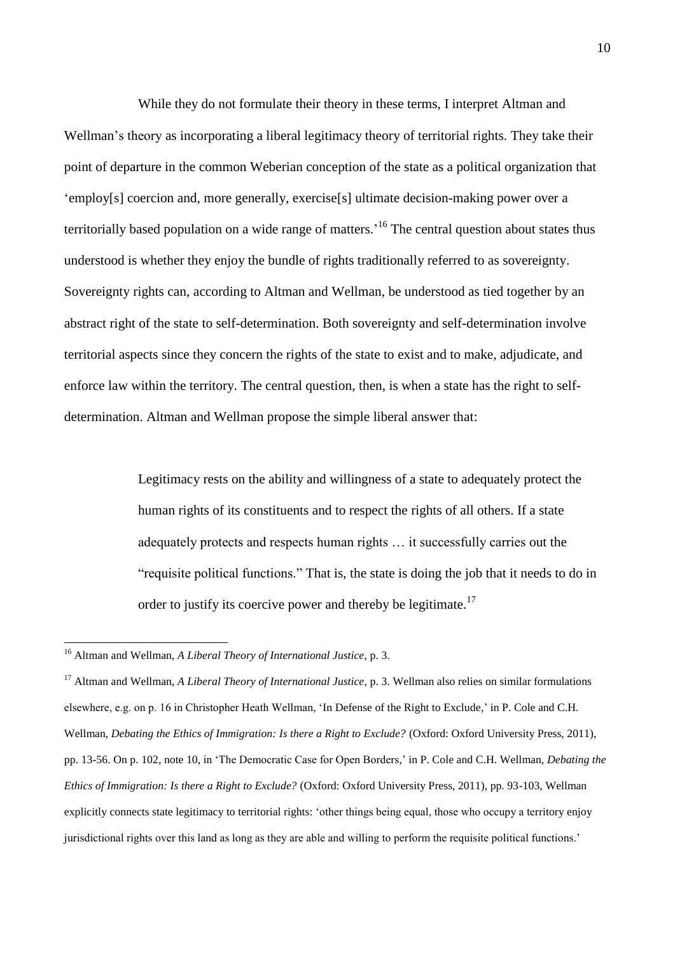While they do not formulate their theory in these terms, I interpret Altman and Wellman's theory as incorporating a liberal legitimacy theory of territorial rights. They take their point of departure in the common Weberian conception of the state as a political organization that 'employ[s] coercion and, more generally, exercise[s] ultimate decision-making power over a territorially based population on a wide range of matters.<sup>16</sup> The central question about states thus understood is whether they enjoy the bundle of rights traditionally referred to as sovereignty. Sovereignty rights can, according to Altman and Wellman, be understood as tied together by an abstract right of the state to self-determination. Both sovereignty and self-determination involve territorial aspects since they concern the rights of the state to exist and to make, adjudicate, and enforce law within the territory. The central question, then, is when a state has the right to selfdetermination. Altman and Wellman propose the simple liberal answer that:

> Legitimacy rests on the ability and willingness of a state to adequately protect the human rights of its constituents and to respect the rights of all others. If a state adequately protects and respects human rights … it successfully carries out the "requisite political functions." That is, the state is doing the job that it needs to do in order to justify its coercive power and thereby be legitimate.<sup>17</sup>

<sup>16</sup> Altman and Wellman, *A Liberal Theory of International Justice*, p. 3.

<sup>&</sup>lt;sup>17</sup> Altman and Wellman, *A Liberal Theory of International Justice*, p. 3. Wellman also relies on similar formulations elsewhere, e.g. on p. 16 in Christopher Heath Wellman, 'In Defense of the Right to Exclude,' in P. Cole and C.H. Wellman, *Debating the Ethics of Immigration: Is there a Right to Exclude?* (Oxford: Oxford University Press, 2011), pp. 13-56. On p. 102, note 10, in 'The Democratic Case for Open Borders,' in P. Cole and C.H. Wellman, *Debating the Ethics of Immigration: Is there a Right to Exclude?* (Oxford: Oxford University Press, 2011), pp. 93-103, Wellman explicitly connects state legitimacy to territorial rights: 'other things being equal, those who occupy a territory enjoy jurisdictional rights over this land as long as they are able and willing to perform the requisite political functions.'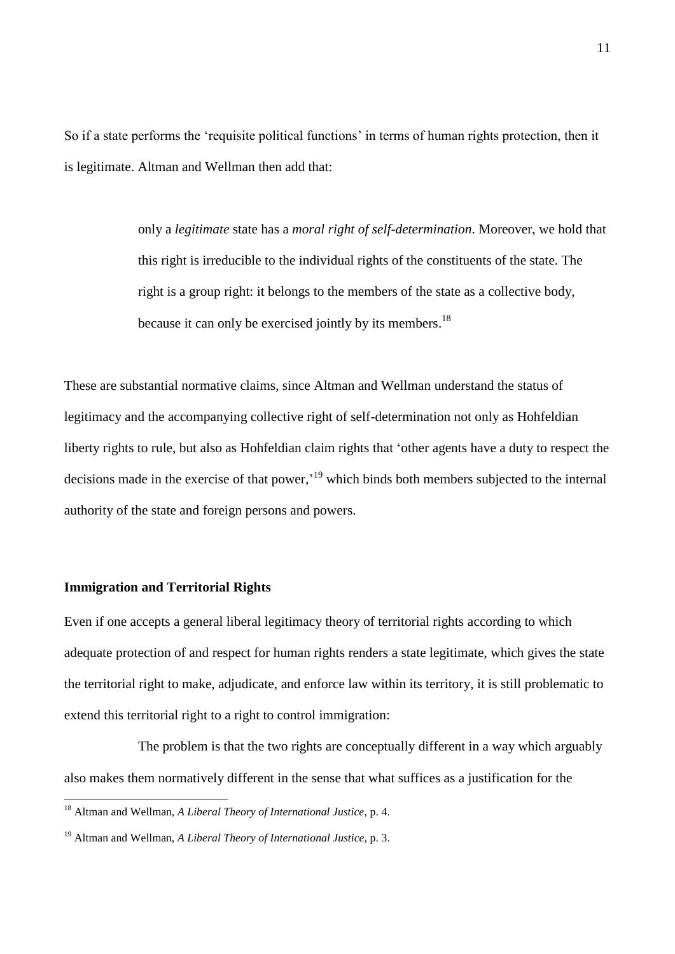So if a state performs the 'requisite political functions' in terms of human rights protection, then it is legitimate. Altman and Wellman then add that:

> only a *legitimate* state has a *moral right of self-determination*. Moreover, we hold that this right is irreducible to the individual rights of the constituents of the state. The right is a group right: it belongs to the members of the state as a collective body, because it can only be exercised jointly by its members.<sup>18</sup>

These are substantial normative claims, since Altman and Wellman understand the status of legitimacy and the accompanying collective right of self-determination not only as Hohfeldian liberty rights to rule, but also as Hohfeldian claim rights that 'other agents have a duty to respect the decisions made in the exercise of that power,<sup>19</sup> which binds both members subjected to the internal authority of the state and foreign persons and powers.

#### **Immigration and Territorial Rights**

1

Even if one accepts a general liberal legitimacy theory of territorial rights according to which adequate protection of and respect for human rights renders a state legitimate, which gives the state the territorial right to make, adjudicate, and enforce law within its territory, it is still problematic to extend this territorial right to a right to control immigration:

The problem is that the two rights are conceptually different in a way which arguably also makes them normatively different in the sense that what suffices as a justification for the

<sup>18</sup> Altman and Wellman, *A Liberal Theory of International Justice*, p. 4.

<sup>19</sup> Altman and Wellman, *A Liberal Theory of International Justice*, p. 3.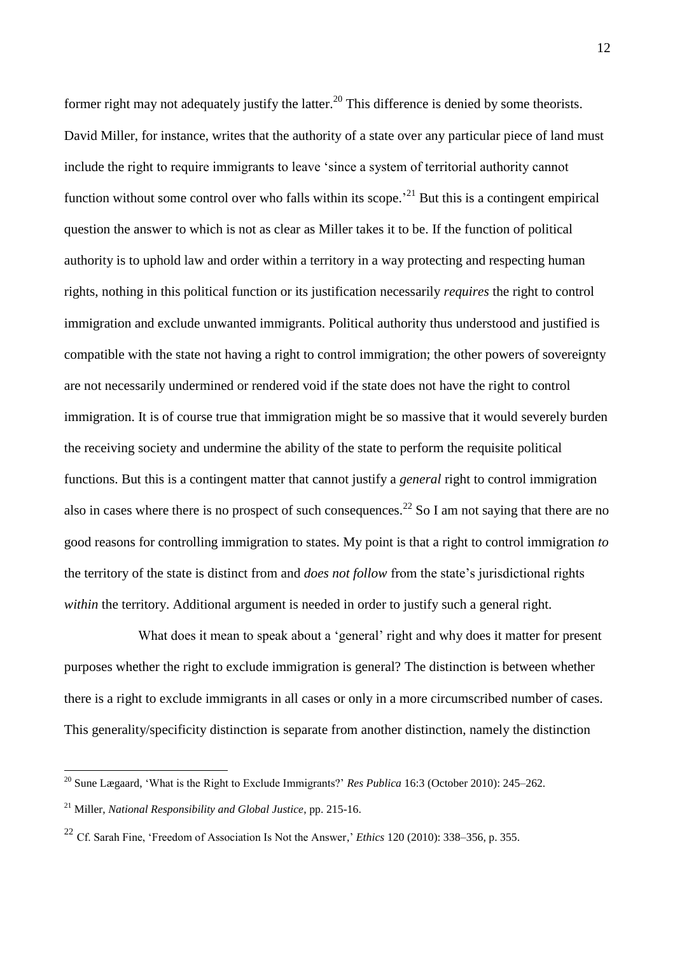former right may not adequately justify the latter.<sup>20</sup> This difference is denied by some theorists. David Miller, for instance, writes that the authority of a state over any particular piece of land must include the right to require immigrants to leave 'since a system of territorial authority cannot function without some control over who falls within its scope.<sup> $21$ </sup> But this is a contingent empirical question the answer to which is not as clear as Miller takes it to be. If the function of political authority is to uphold law and order within a territory in a way protecting and respecting human rights, nothing in this political function or its justification necessarily *requires* the right to control immigration and exclude unwanted immigrants. Political authority thus understood and justified is compatible with the state not having a right to control immigration; the other powers of sovereignty are not necessarily undermined or rendered void if the state does not have the right to control immigration. It is of course true that immigration might be so massive that it would severely burden the receiving society and undermine the ability of the state to perform the requisite political functions. But this is a contingent matter that cannot justify a *general* right to control immigration also in cases where there is no prospect of such consequences.<sup>22</sup> So I am not saying that there are no good reasons for controlling immigration to states. My point is that a right to control immigration *to* the territory of the state is distinct from and *does not follow* from the state's jurisdictional rights *within* the territory. Additional argument is needed in order to justify such a general right.

What does it mean to speak about a 'general' right and why does it matter for present purposes whether the right to exclude immigration is general? The distinction is between whether there is a right to exclude immigrants in all cases or only in a more circumscribed number of cases. This generality/specificity distinction is separate from another distinction, namely the distinction

<sup>20</sup> Sune Lægaard, 'What is the Right to Exclude Immigrants?' *Res Publica* 16:3 (October 2010): 245–262.

<sup>21</sup> Miller, *National Responsibility and Global Justice*, pp. 215-16.

<sup>22</sup> Cf. Sarah Fine, 'Freedom of Association Is Not the Answer,' *Ethics* 120 (2010): 338–356, p. 355.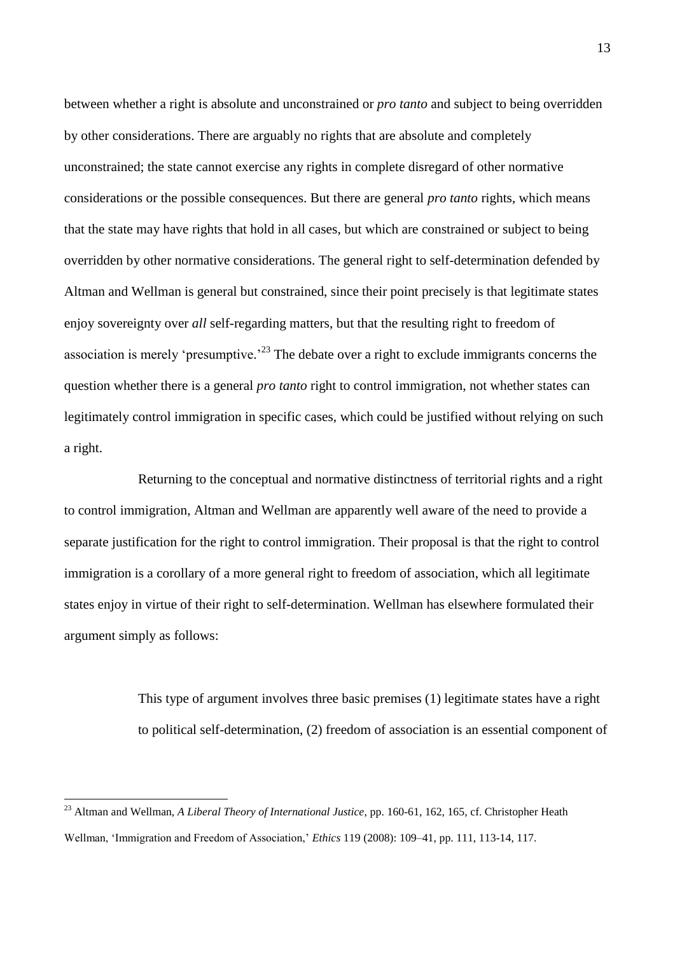between whether a right is absolute and unconstrained or *pro tanto* and subject to being overridden by other considerations. There are arguably no rights that are absolute and completely unconstrained; the state cannot exercise any rights in complete disregard of other normative considerations or the possible consequences. But there are general *pro tanto* rights, which means that the state may have rights that hold in all cases, but which are constrained or subject to being overridden by other normative considerations. The general right to self-determination defended by Altman and Wellman is general but constrained, since their point precisely is that legitimate states enjoy sovereignty over *all* self-regarding matters, but that the resulting right to freedom of association is merely 'presumptive.<sup>23</sup> The debate over a right to exclude immigrants concerns the question whether there is a general *pro tanto* right to control immigration, not whether states can legitimately control immigration in specific cases, which could be justified without relying on such a right.

Returning to the conceptual and normative distinctness of territorial rights and a right to control immigration, Altman and Wellman are apparently well aware of the need to provide a separate justification for the right to control immigration. Their proposal is that the right to control immigration is a corollary of a more general right to freedom of association, which all legitimate states enjoy in virtue of their right to self-determination. Wellman has elsewhere formulated their argument simply as follows:

> This type of argument involves three basic premises (1) legitimate states have a right to political self-determination, (2) freedom of association is an essential component of

<sup>23</sup> Altman and Wellman, *A Liberal Theory of International Justice*, pp. 160-61, 162, 165, cf. Christopher Heath Wellman, 'Immigration and Freedom of Association,' *Ethics* 119 (2008): 109–41, pp. 111, 113-14, 117.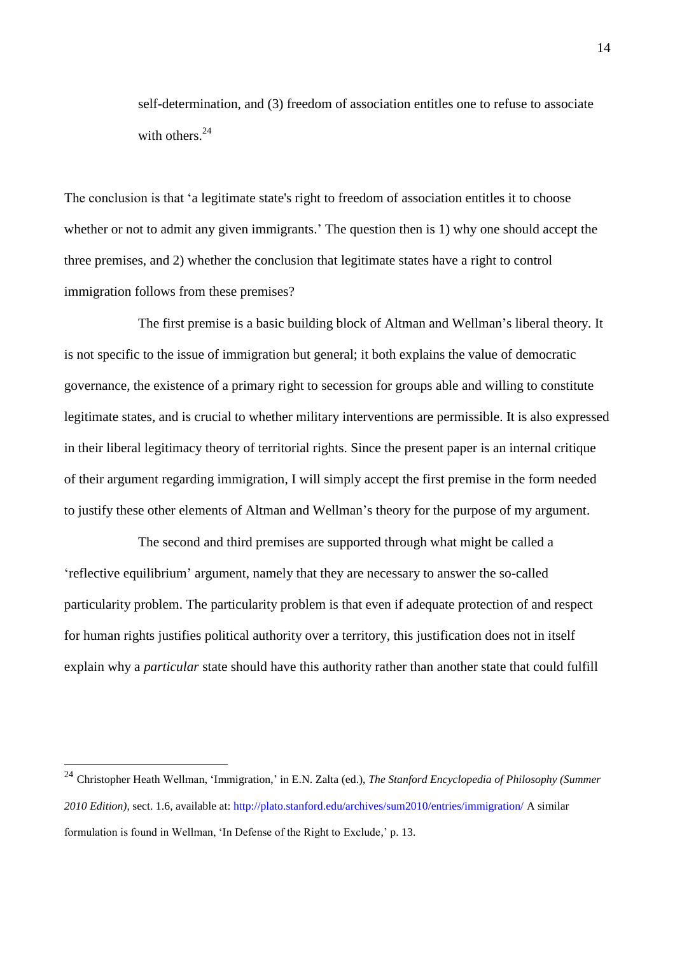self-determination, and (3) freedom of association entitles one to refuse to associate with others.<sup>24</sup>

The conclusion is that 'a legitimate state's right to freedom of association entitles it to choose whether or not to admit any given immigrants.' The question then is 1) why one should accept the three premises, and 2) whether the conclusion that legitimate states have a right to control immigration follows from these premises?

The first premise is a basic building block of Altman and Wellman's liberal theory. It is not specific to the issue of immigration but general; it both explains the value of democratic governance, the existence of a primary right to secession for groups able and willing to constitute legitimate states, and is crucial to whether military interventions are permissible. It is also expressed in their liberal legitimacy theory of territorial rights. Since the present paper is an internal critique of their argument regarding immigration, I will simply accept the first premise in the form needed to justify these other elements of Altman and Wellman's theory for the purpose of my argument.

The second and third premises are supported through what might be called a 'reflective equilibrium' argument, namely that they are necessary to answer the so-called particularity problem. The particularity problem is that even if adequate protection of and respect for human rights justifies political authority over a territory, this justification does not in itself explain why a *particular* state should have this authority rather than another state that could fulfill

<sup>24</sup> Christopher Heath Wellman, 'Immigration,' in E.N. Zalta (ed.), *The Stanford Encyclopedia of Philosophy (Summer 2010 Edition)*, sect. 1.6, available at:<http://plato.stanford.edu/archives/sum2010/entries/immigration/> A similar formulation is found in Wellman, 'In Defense of the Right to Exclude,' p. 13.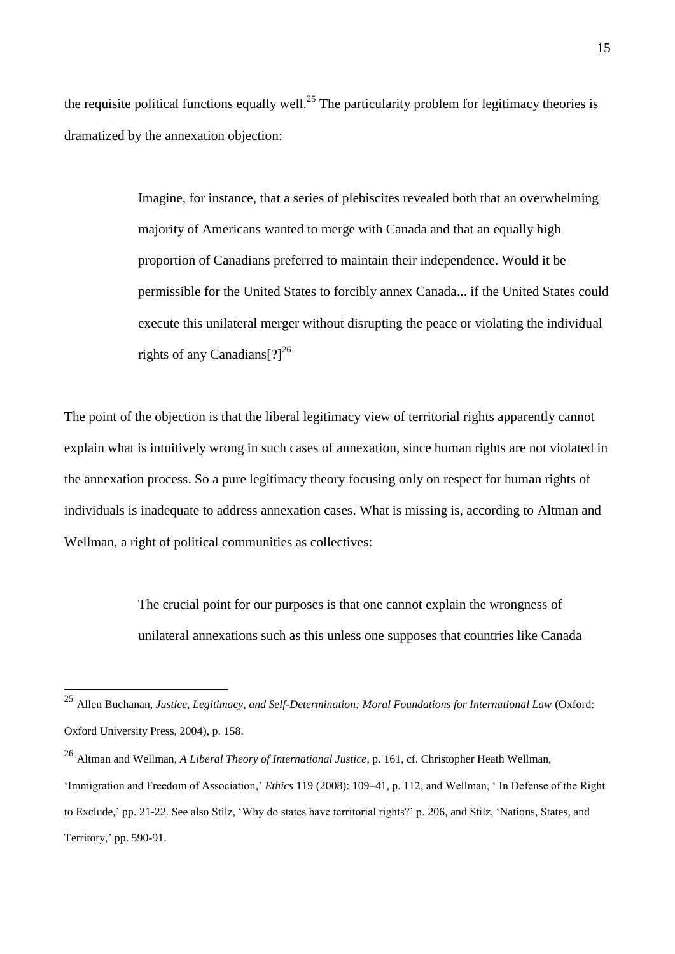the requisite political functions equally well.<sup>25</sup> The particularity problem for legitimacy theories is dramatized by the annexation objection:

> Imagine, for instance, that a series of plebiscites revealed both that an overwhelming majority of Americans wanted to merge with Canada and that an equally high proportion of Canadians preferred to maintain their independence. Would it be permissible for the United States to forcibly annex Canada... if the United States could execute this unilateral merger without disrupting the peace or violating the individual rights of any Canadians $[?]^{26}$

The point of the objection is that the liberal legitimacy view of territorial rights apparently cannot explain what is intuitively wrong in such cases of annexation, since human rights are not violated in the annexation process. So a pure legitimacy theory focusing only on respect for human rights of individuals is inadequate to address annexation cases. What is missing is, according to Altman and Wellman, a right of political communities as collectives:

> The crucial point for our purposes is that one cannot explain the wrongness of unilateral annexations such as this unless one supposes that countries like Canada

<u>.</u>

<sup>25</sup> Allen Buchanan, *Justice, Legitimacy, and Self-Determination: Moral Foundations for International Law* (Oxford: Oxford University Press, 2004), p. 158.

<sup>26</sup> Altman and Wellman, *A Liberal Theory of International Justice*, p. 161, cf. Christopher Heath Wellman,

<sup>&#</sup>x27;Immigration and Freedom of Association,' *Ethics* 119 (2008): 109–41, p. 112, and Wellman, ' In Defense of the Right to Exclude,' pp. 21-22. See also Stilz, 'Why do states have territorial rights?' p. 206, and Stilz, 'Nations, States, and Territory,' pp. 590-91.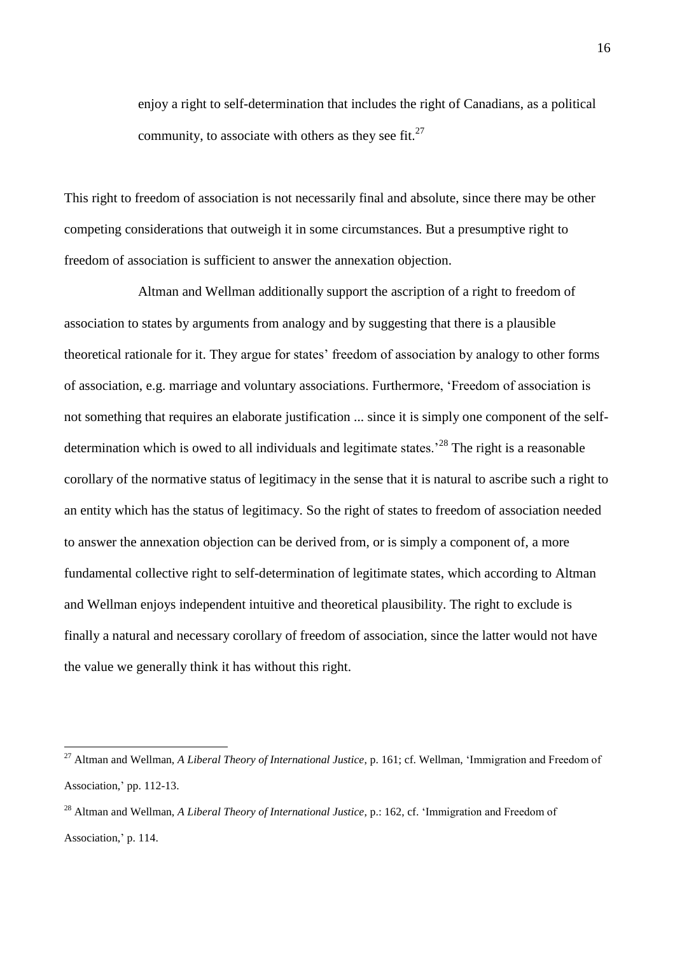enjoy a right to self-determination that includes the right of Canadians, as a political community, to associate with others as they see fit.<sup>27</sup>

This right to freedom of association is not necessarily final and absolute, since there may be other competing considerations that outweigh it in some circumstances. But a presumptive right to freedom of association is sufficient to answer the annexation objection.

Altman and Wellman additionally support the ascription of a right to freedom of association to states by arguments from analogy and by suggesting that there is a plausible theoretical rationale for it. They argue for states' freedom of association by analogy to other forms of association, e.g. marriage and voluntary associations. Furthermore, 'Freedom of association is not something that requires an elaborate justification ... since it is simply one component of the selfdetermination which is owed to all individuals and legitimate states.<sup>28</sup> The right is a reasonable corollary of the normative status of legitimacy in the sense that it is natural to ascribe such a right to an entity which has the status of legitimacy. So the right of states to freedom of association needed to answer the annexation objection can be derived from, or is simply a component of, a more fundamental collective right to self-determination of legitimate states, which according to Altman and Wellman enjoys independent intuitive and theoretical plausibility. The right to exclude is finally a natural and necessary corollary of freedom of association, since the latter would not have the value we generally think it has without this right.

<u>.</u>

<sup>27</sup> Altman and Wellman, *A Liberal Theory of International Justice*, p. 161; cf. Wellman, 'Immigration and Freedom of Association,' pp. 112-13.

<sup>28</sup> Altman and Wellman, *A Liberal Theory of International Justice*, p.: 162, cf. 'Immigration and Freedom of Association,' p. 114.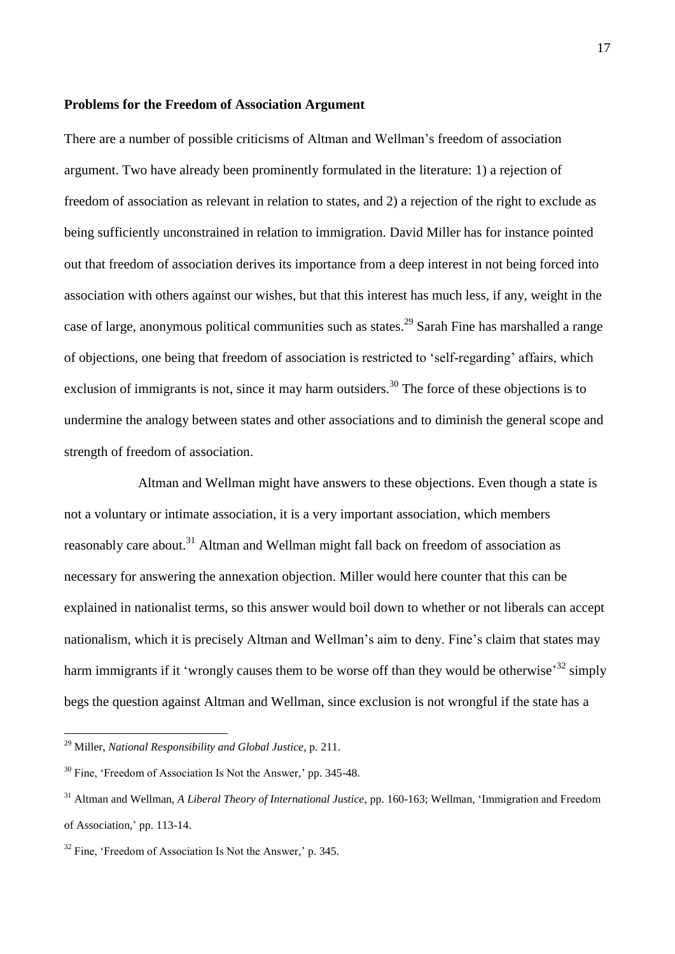#### **Problems for the Freedom of Association Argument**

There are a number of possible criticisms of Altman and Wellman's freedom of association argument. Two have already been prominently formulated in the literature: 1) a rejection of freedom of association as relevant in relation to states, and 2) a rejection of the right to exclude as being sufficiently unconstrained in relation to immigration. David Miller has for instance pointed out that freedom of association derives its importance from a deep interest in not being forced into association with others against our wishes, but that this interest has much less, if any, weight in the case of large, anonymous political communities such as states.<sup>29</sup> Sarah Fine has marshalled a range of objections, one being that freedom of association is restricted to 'self-regarding' affairs, which exclusion of immigrants is not, since it may harm outsiders.<sup>30</sup> The force of these objections is to undermine the analogy between states and other associations and to diminish the general scope and strength of freedom of association.

Altman and Wellman might have answers to these objections. Even though a state is not a voluntary or intimate association, it is a very important association, which members reasonably care about.<sup>31</sup> Altman and Wellman might fall back on freedom of association as necessary for answering the annexation objection. Miller would here counter that this can be explained in nationalist terms, so this answer would boil down to whether or not liberals can accept nationalism, which it is precisely Altman and Wellman's aim to deny. Fine's claim that states may harm immigrants if it 'wrongly causes them to be worse off than they would be otherwise<sup>32</sup> simply begs the question against Altman and Wellman, since exclusion is not wrongful if the state has a

<sup>29</sup> Miller, *National Responsibility and Global Justice*, p. 211.

 $30$  Fine, 'Freedom of Association Is Not the Answer,' pp. 345-48.

<sup>31</sup> Altman and Wellman, *A Liberal Theory of International Justice*, pp. 160-163; Wellman, 'Immigration and Freedom of Association,' pp. 113-14.

 $32$  Fine, 'Freedom of Association Is Not the Answer,' p. 345.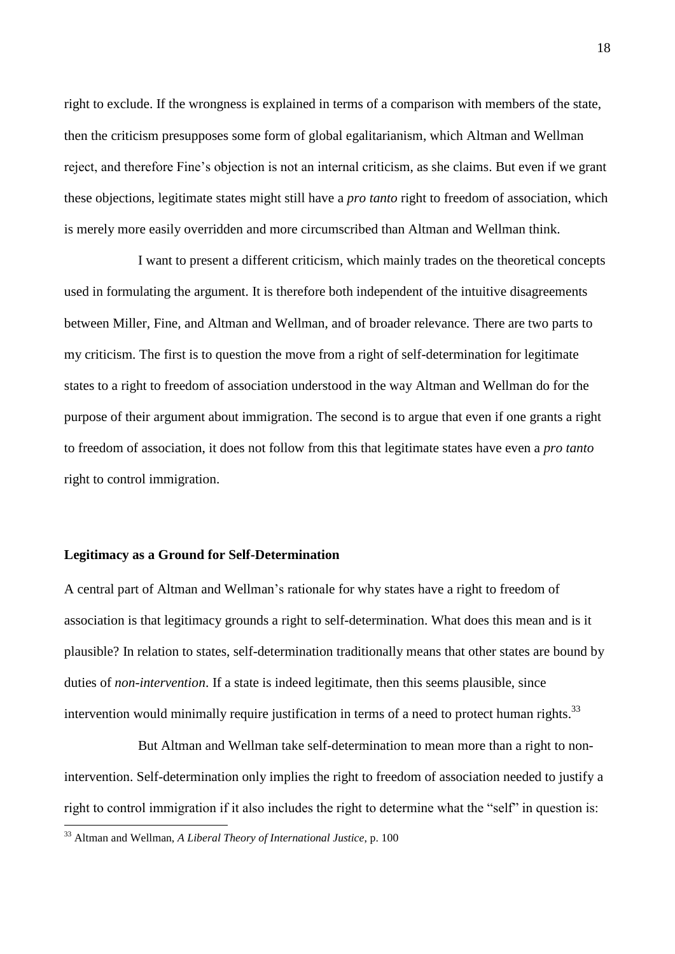right to exclude. If the wrongness is explained in terms of a comparison with members of the state, then the criticism presupposes some form of global egalitarianism, which Altman and Wellman reject, and therefore Fine's objection is not an internal criticism, as she claims. But even if we grant these objections, legitimate states might still have a *pro tanto* right to freedom of association, which is merely more easily overridden and more circumscribed than Altman and Wellman think.

I want to present a different criticism, which mainly trades on the theoretical concepts used in formulating the argument. It is therefore both independent of the intuitive disagreements between Miller, Fine, and Altman and Wellman, and of broader relevance. There are two parts to my criticism. The first is to question the move from a right of self-determination for legitimate states to a right to freedom of association understood in the way Altman and Wellman do for the purpose of their argument about immigration. The second is to argue that even if one grants a right to freedom of association, it does not follow from this that legitimate states have even a *pro tanto* right to control immigration.

#### **Legitimacy as a Ground for Self-Determination**

A central part of Altman and Wellman's rationale for why states have a right to freedom of association is that legitimacy grounds a right to self-determination. What does this mean and is it plausible? In relation to states, self-determination traditionally means that other states are bound by duties of *non-intervention*. If a state is indeed legitimate, then this seems plausible, since intervention would minimally require justification in terms of a need to protect human rights.<sup>33</sup>

But Altman and Wellman take self-determination to mean more than a right to nonintervention. Self-determination only implies the right to freedom of association needed to justify a right to control immigration if it also includes the right to determine what the "self" in question is:

<u>.</u>

<sup>33</sup> Altman and Wellman, *A Liberal Theory of International Justice*, p. 100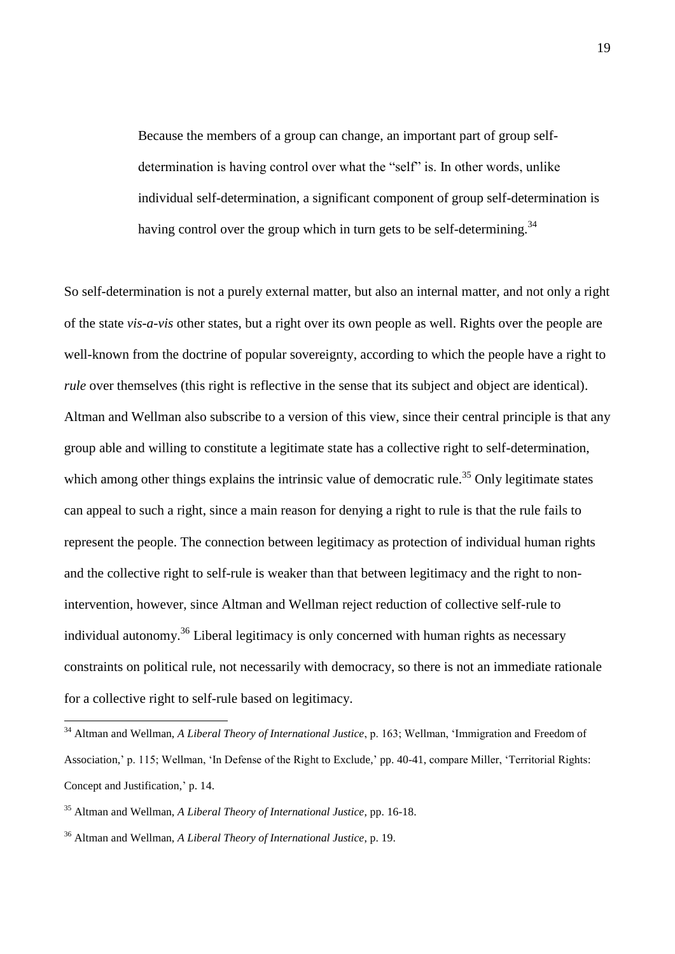Because the members of a group can change, an important part of group selfdetermination is having control over what the "self" is. In other words, unlike individual self-determination, a significant component of group self-determination is having control over the group which in turn gets to be self-determining.<sup>34</sup>

So self-determination is not a purely external matter, but also an internal matter, and not only a right of the state *vis-a-vis* other states, but a right over its own people as well. Rights over the people are well-known from the doctrine of popular sovereignty, according to which the people have a right to *rule* over themselves (this right is reflective in the sense that its subject and object are identical). Altman and Wellman also subscribe to a version of this view, since their central principle is that any group able and willing to constitute a legitimate state has a collective right to self-determination, which among other things explains the intrinsic value of democratic rule.<sup>35</sup> Only legitimate states can appeal to such a right, since a main reason for denying a right to rule is that the rule fails to represent the people. The connection between legitimacy as protection of individual human rights and the collective right to self-rule is weaker than that between legitimacy and the right to nonintervention, however, since Altman and Wellman reject reduction of collective self-rule to individual autonomy.<sup>36</sup> Liberal legitimacy is only concerned with human rights as necessary constraints on political rule, not necessarily with democracy, so there is not an immediate rationale for a collective right to self-rule based on legitimacy.

<sup>34</sup> Altman and Wellman, *A Liberal Theory of International Justice*, p. 163; Wellman, 'Immigration and Freedom of Association,' p. 115; Wellman, 'In Defense of the Right to Exclude,' pp. 40-41, compare Miller, 'Territorial Rights: Concept and Justification,' p. 14.

<sup>35</sup> Altman and Wellman, *A Liberal Theory of International Justice*, pp. 16-18.

<sup>36</sup> Altman and Wellman, *A Liberal Theory of International Justice*, p. 19.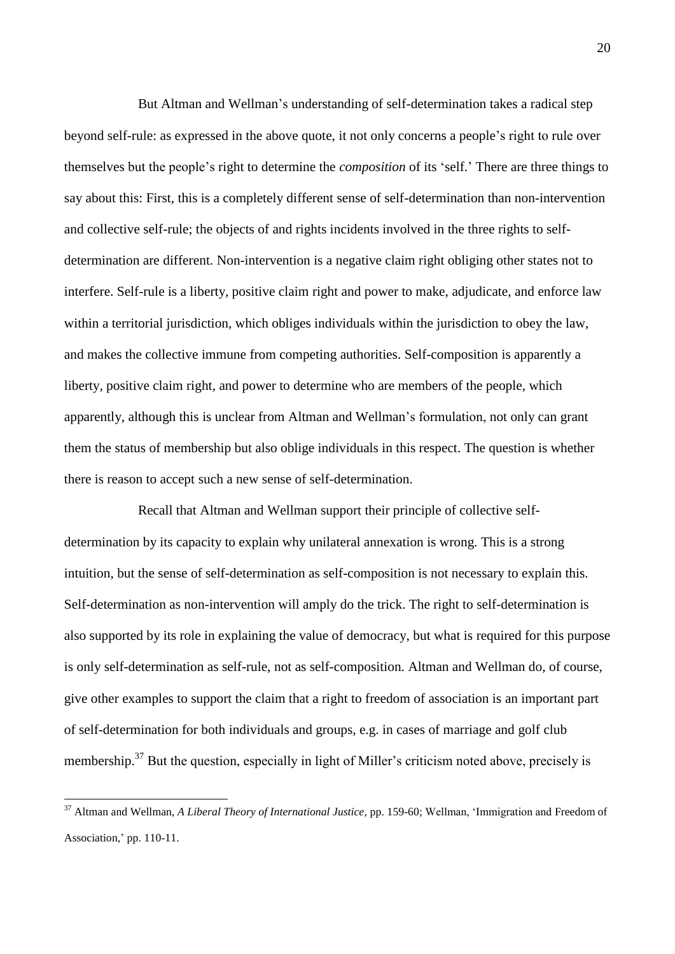But Altman and Wellman's understanding of self-determination takes a radical step beyond self-rule: as expressed in the above quote, it not only concerns a people's right to rule over themselves but the people's right to determine the *composition* of its 'self.' There are three things to say about this: First, this is a completely different sense of self-determination than non-intervention and collective self-rule; the objects of and rights incidents involved in the three rights to selfdetermination are different. Non-intervention is a negative claim right obliging other states not to interfere. Self-rule is a liberty, positive claim right and power to make, adjudicate, and enforce law within a territorial jurisdiction, which obliges individuals within the jurisdiction to obey the law, and makes the collective immune from competing authorities. Self-composition is apparently a liberty, positive claim right, and power to determine who are members of the people, which apparently, although this is unclear from Altman and Wellman's formulation, not only can grant them the status of membership but also oblige individuals in this respect. The question is whether there is reason to accept such a new sense of self-determination.

Recall that Altman and Wellman support their principle of collective selfdetermination by its capacity to explain why unilateral annexation is wrong. This is a strong intuition, but the sense of self-determination as self-composition is not necessary to explain this. Self-determination as non-intervention will amply do the trick. The right to self-determination is also supported by its role in explaining the value of democracy, but what is required for this purpose is only self-determination as self-rule, not as self-composition. Altman and Wellman do, of course, give other examples to support the claim that a right to freedom of association is an important part of self-determination for both individuals and groups, e.g. in cases of marriage and golf club membership.<sup>37</sup> But the question, especially in light of Miller's criticism noted above, precisely is

<sup>37</sup> Altman and Wellman, *A Liberal Theory of International Justice*, pp. 159-60; Wellman, 'Immigration and Freedom of Association,' pp. 110-11.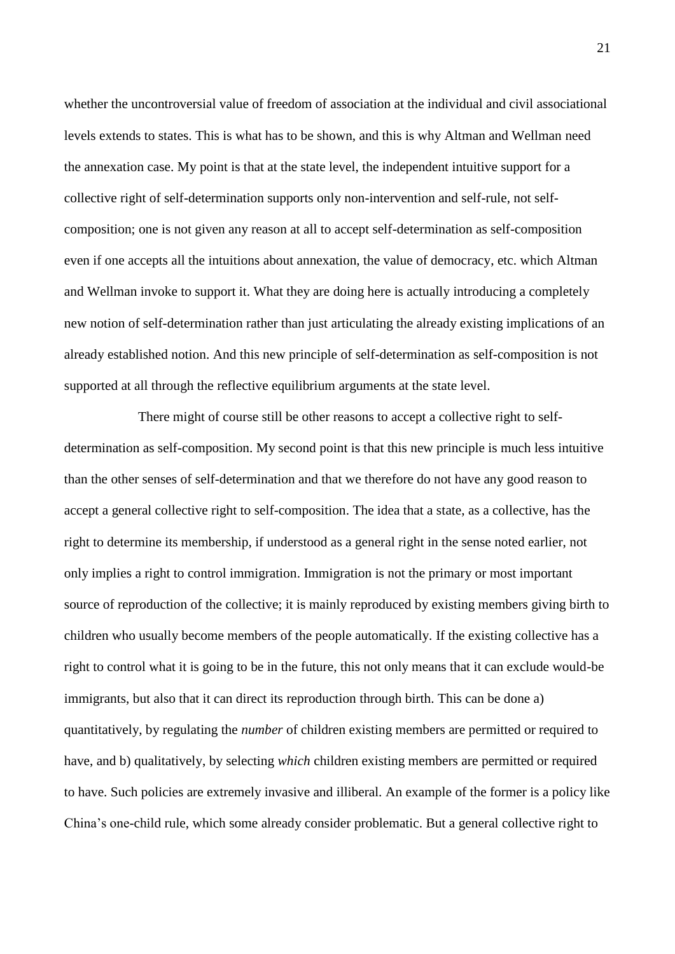whether the uncontroversial value of freedom of association at the individual and civil associational levels extends to states. This is what has to be shown, and this is why Altman and Wellman need the annexation case. My point is that at the state level, the independent intuitive support for a collective right of self-determination supports only non-intervention and self-rule, not selfcomposition; one is not given any reason at all to accept self-determination as self-composition even if one accepts all the intuitions about annexation, the value of democracy, etc. which Altman and Wellman invoke to support it. What they are doing here is actually introducing a completely new notion of self-determination rather than just articulating the already existing implications of an already established notion. And this new principle of self-determination as self-composition is not supported at all through the reflective equilibrium arguments at the state level.

There might of course still be other reasons to accept a collective right to selfdetermination as self-composition. My second point is that this new principle is much less intuitive than the other senses of self-determination and that we therefore do not have any good reason to accept a general collective right to self-composition. The idea that a state, as a collective, has the right to determine its membership, if understood as a general right in the sense noted earlier, not only implies a right to control immigration. Immigration is not the primary or most important source of reproduction of the collective; it is mainly reproduced by existing members giving birth to children who usually become members of the people automatically. If the existing collective has a right to control what it is going to be in the future, this not only means that it can exclude would-be immigrants, but also that it can direct its reproduction through birth. This can be done a) quantitatively, by regulating the *number* of children existing members are permitted or required to have, and b) qualitatively, by selecting *which* children existing members are permitted or required to have. Such policies are extremely invasive and illiberal. An example of the former is a policy like China's one-child rule, which some already consider problematic. But a general collective right to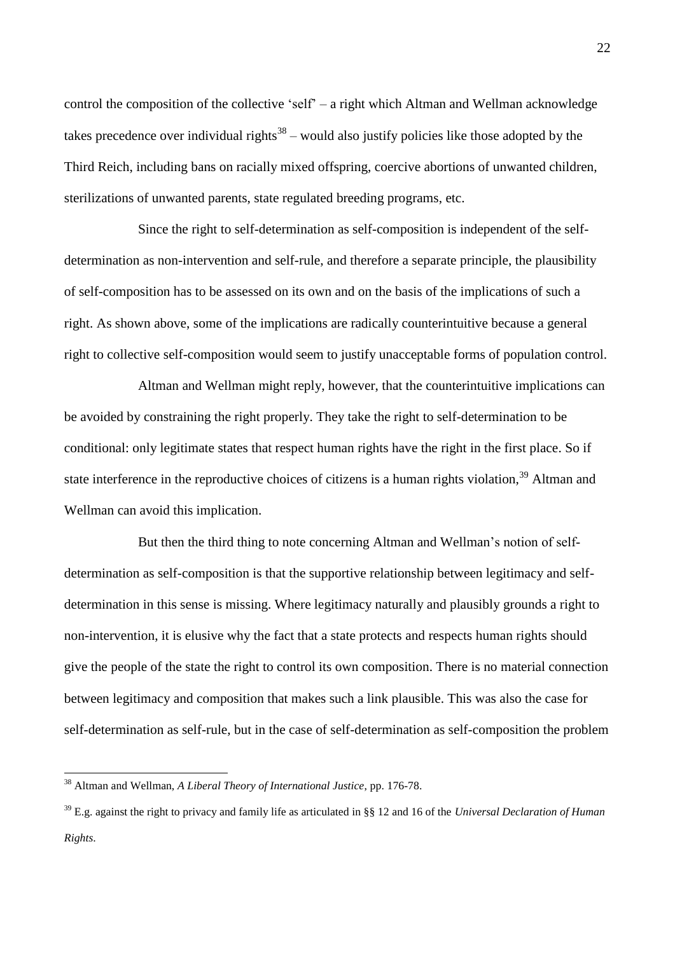control the composition of the collective 'self' – a right which Altman and Wellman acknowledge takes precedence over individual rights<sup>38</sup> – would also justify policies like those adopted by the Third Reich, including bans on racially mixed offspring, coercive abortions of unwanted children, sterilizations of unwanted parents, state regulated breeding programs, etc.

Since the right to self-determination as self-composition is independent of the selfdetermination as non-intervention and self-rule, and therefore a separate principle, the plausibility of self-composition has to be assessed on its own and on the basis of the implications of such a right. As shown above, some of the implications are radically counterintuitive because a general right to collective self-composition would seem to justify unacceptable forms of population control.

Altman and Wellman might reply, however, that the counterintuitive implications can be avoided by constraining the right properly. They take the right to self-determination to be conditional: only legitimate states that respect human rights have the right in the first place. So if state interference in the reproductive choices of citizens is a human rights violation,<sup>39</sup> Altman and Wellman can avoid this implication.

But then the third thing to note concerning Altman and Wellman's notion of selfdetermination as self-composition is that the supportive relationship between legitimacy and selfdetermination in this sense is missing. Where legitimacy naturally and plausibly grounds a right to non-intervention, it is elusive why the fact that a state protects and respects human rights should give the people of the state the right to control its own composition. There is no material connection between legitimacy and composition that makes such a link plausible. This was also the case for self-determination as self-rule, but in the case of self-determination as self-composition the problem

<sup>38</sup> Altman and Wellman, *A Liberal Theory of International Justice*, pp. 176-78.

<sup>39</sup> E.g. against the right to privacy and family life as articulated in §§ 12 and 16 of the *Universal Declaration of Human Rights*.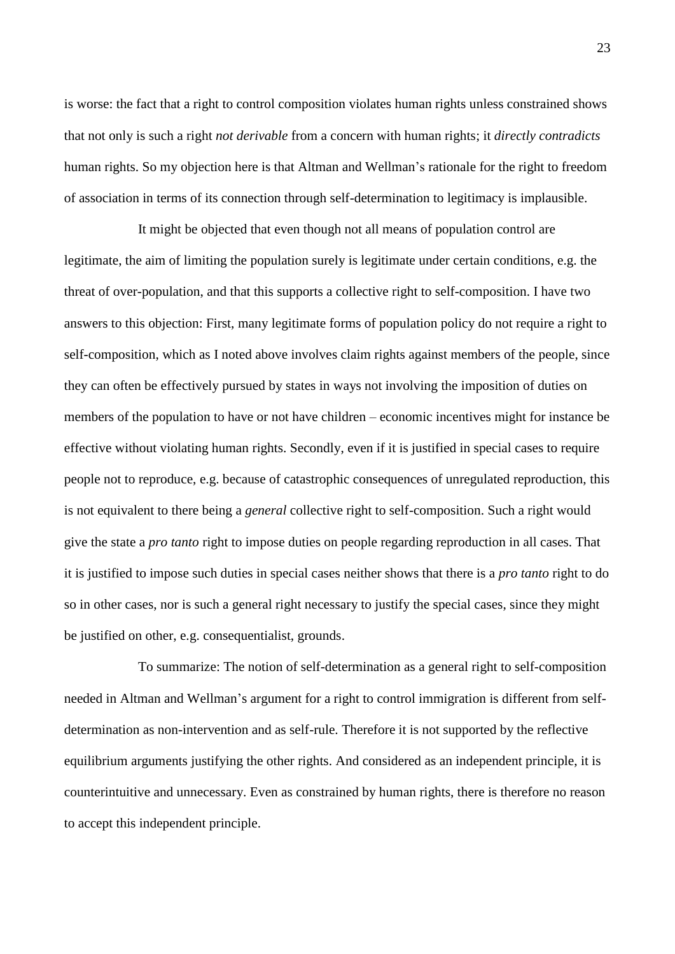is worse: the fact that a right to control composition violates human rights unless constrained shows that not only is such a right *not derivable* from a concern with human rights; it *directly contradicts* human rights. So my objection here is that Altman and Wellman's rationale for the right to freedom of association in terms of its connection through self-determination to legitimacy is implausible.

It might be objected that even though not all means of population control are legitimate, the aim of limiting the population surely is legitimate under certain conditions, e.g. the threat of over-population, and that this supports a collective right to self-composition. I have two answers to this objection: First, many legitimate forms of population policy do not require a right to self-composition, which as I noted above involves claim rights against members of the people, since they can often be effectively pursued by states in ways not involving the imposition of duties on members of the population to have or not have children – economic incentives might for instance be effective without violating human rights. Secondly, even if it is justified in special cases to require people not to reproduce, e.g. because of catastrophic consequences of unregulated reproduction, this is not equivalent to there being a *general* collective right to self-composition. Such a right would give the state a *pro tanto* right to impose duties on people regarding reproduction in all cases. That it is justified to impose such duties in special cases neither shows that there is a *pro tanto* right to do so in other cases, nor is such a general right necessary to justify the special cases, since they might be justified on other, e.g. consequentialist, grounds.

To summarize: The notion of self-determination as a general right to self-composition needed in Altman and Wellman's argument for a right to control immigration is different from selfdetermination as non-intervention and as self-rule. Therefore it is not supported by the reflective equilibrium arguments justifying the other rights. And considered as an independent principle, it is counterintuitive and unnecessary. Even as constrained by human rights, there is therefore no reason to accept this independent principle.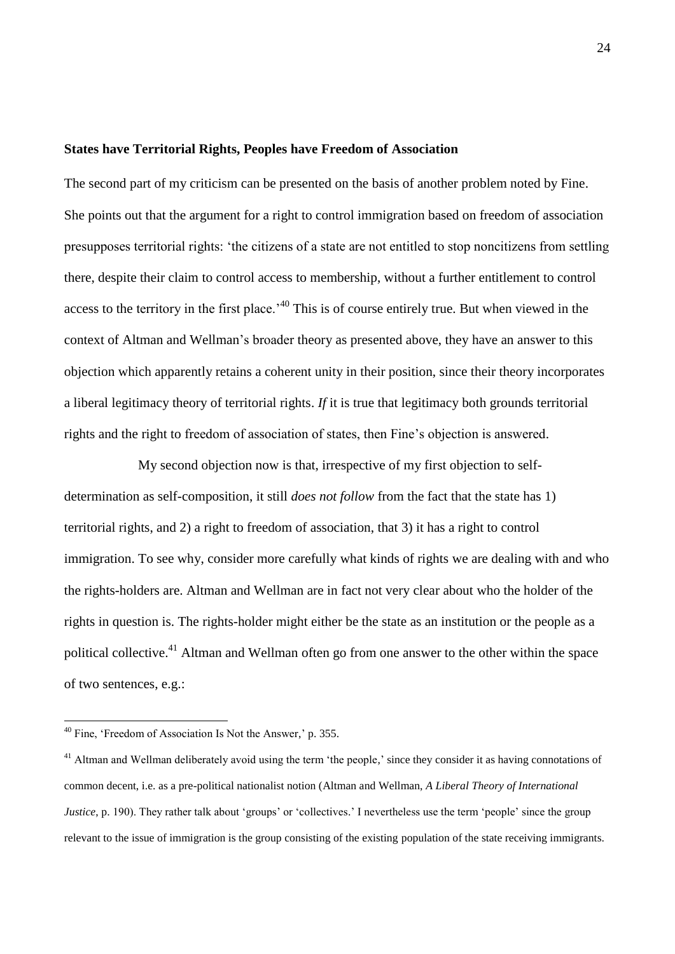#### **States have Territorial Rights, Peoples have Freedom of Association**

The second part of my criticism can be presented on the basis of another problem noted by Fine. She points out that the argument for a right to control immigration based on freedom of association presupposes territorial rights: 'the citizens of a state are not entitled to stop noncitizens from settling there, despite their claim to control access to membership, without a further entitlement to control access to the territory in the first place.<sup>40</sup> This is of course entirely true. But when viewed in the context of Altman and Wellman's broader theory as presented above, they have an answer to this objection which apparently retains a coherent unity in their position, since their theory incorporates a liberal legitimacy theory of territorial rights. *If* it is true that legitimacy both grounds territorial rights and the right to freedom of association of states, then Fine's objection is answered.

My second objection now is that, irrespective of my first objection to selfdetermination as self-composition, it still *does not follow* from the fact that the state has 1) territorial rights, and 2) a right to freedom of association, that 3) it has a right to control immigration. To see why, consider more carefully what kinds of rights we are dealing with and who the rights-holders are. Altman and Wellman are in fact not very clear about who the holder of the rights in question is. The rights-holder might either be the state as an institution or the people as a political collective.<sup>41</sup> Altman and Wellman often go from one answer to the other within the space of two sentences, e.g.:

<sup>&</sup>lt;sup>40</sup> Fine, 'Freedom of Association Is Not the Answer,' p. 355.

<sup>&</sup>lt;sup>41</sup> Altman and Wellman deliberately avoid using the term 'the people,' since they consider it as having connotations of common decent, i.e. as a pre-political nationalist notion (Altman and Wellman, *A Liberal Theory of International Justice*, p. 190). They rather talk about 'groups' or 'collectives.' I nevertheless use the term 'people' since the group relevant to the issue of immigration is the group consisting of the existing population of the state receiving immigrants.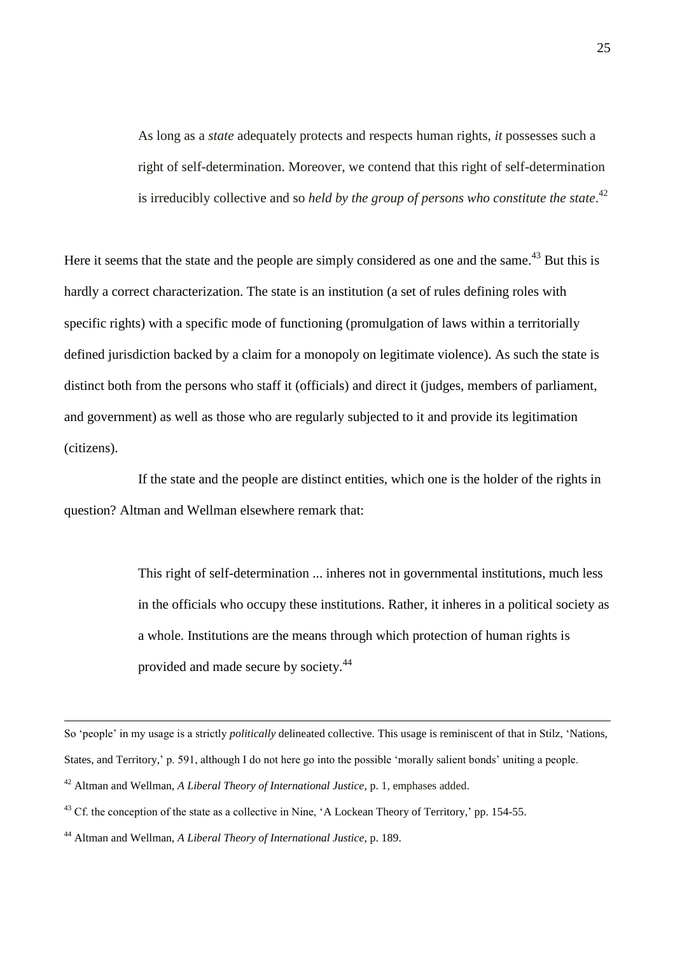As long as a *state* adequately protects and respects human rights, *it* possesses such a right of self-determination. Moreover, we contend that this right of self-determination is irreducibly collective and so *held by the group of persons who constitute the state*. 42

Here it seems that the state and the people are simply considered as one and the same.<sup>43</sup> But this is hardly a correct characterization. The state is an institution (a set of rules defining roles with specific rights) with a specific mode of functioning (promulgation of laws within a territorially defined jurisdiction backed by a claim for a monopoly on legitimate violence). As such the state is distinct both from the persons who staff it (officials) and direct it (judges, members of parliament, and government) as well as those who are regularly subjected to it and provide its legitimation (citizens).

If the state and the people are distinct entities, which one is the holder of the rights in question? Altman and Wellman elsewhere remark that:

> This right of self-determination ... inheres not in governmental institutions, much less in the officials who occupy these institutions. Rather, it inheres in a political society as a whole. Institutions are the means through which protection of human rights is provided and made secure by society.<sup>44</sup>

So 'people' in my usage is a strictly *politically* delineated collective. This usage is reminiscent of that in Stilz, 'Nations,

States, and Territory,' p. 591, although I do not here go into the possible 'morally salient bonds' uniting a people.

<sup>42</sup> Altman and Wellman, *A Liberal Theory of International Justice*, p. 1, emphases added.

<sup>&</sup>lt;sup>43</sup> Cf. the conception of the state as a collective in Nine, 'A Lockean Theory of Territory,' pp. 154-55.

<sup>44</sup> Altman and Wellman, *A Liberal Theory of International Justice*, p. 189.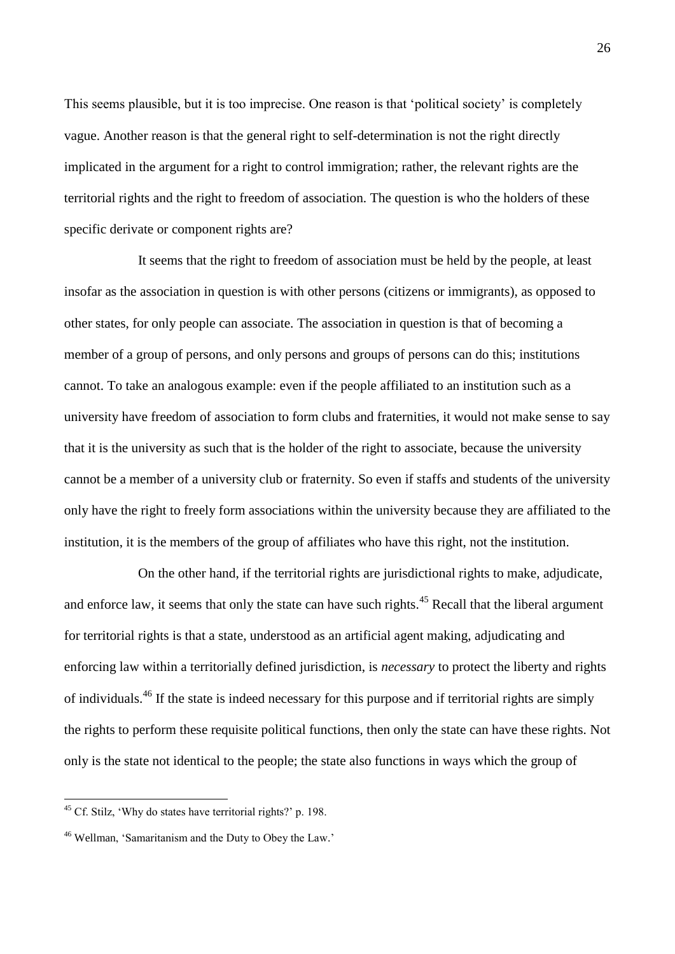This seems plausible, but it is too imprecise. One reason is that 'political society' is completely vague. Another reason is that the general right to self-determination is not the right directly implicated in the argument for a right to control immigration; rather, the relevant rights are the territorial rights and the right to freedom of association. The question is who the holders of these specific derivate or component rights are?

It seems that the right to freedom of association must be held by the people, at least insofar as the association in question is with other persons (citizens or immigrants), as opposed to other states, for only people can associate. The association in question is that of becoming a member of a group of persons, and only persons and groups of persons can do this; institutions cannot. To take an analogous example: even if the people affiliated to an institution such as a university have freedom of association to form clubs and fraternities, it would not make sense to say that it is the university as such that is the holder of the right to associate, because the university cannot be a member of a university club or fraternity. So even if staffs and students of the university only have the right to freely form associations within the university because they are affiliated to the institution, it is the members of the group of affiliates who have this right, not the institution.

On the other hand, if the territorial rights are jurisdictional rights to make, adjudicate, and enforce law, it seems that only the state can have such rights.<sup>45</sup> Recall that the liberal argument for territorial rights is that a state, understood as an artificial agent making, adjudicating and enforcing law within a territorially defined jurisdiction, is *necessary* to protect the liberty and rights of individuals.<sup>46</sup> If the state is indeed necessary for this purpose and if territorial rights are simply the rights to perform these requisite political functions, then only the state can have these rights. Not only is the state not identical to the people; the state also functions in ways which the group of

<sup>45</sup> Cf. Stilz, 'Why do states have territorial rights?' p. 198.

<sup>46</sup> Wellman, 'Samaritanism and the Duty to Obey the Law.'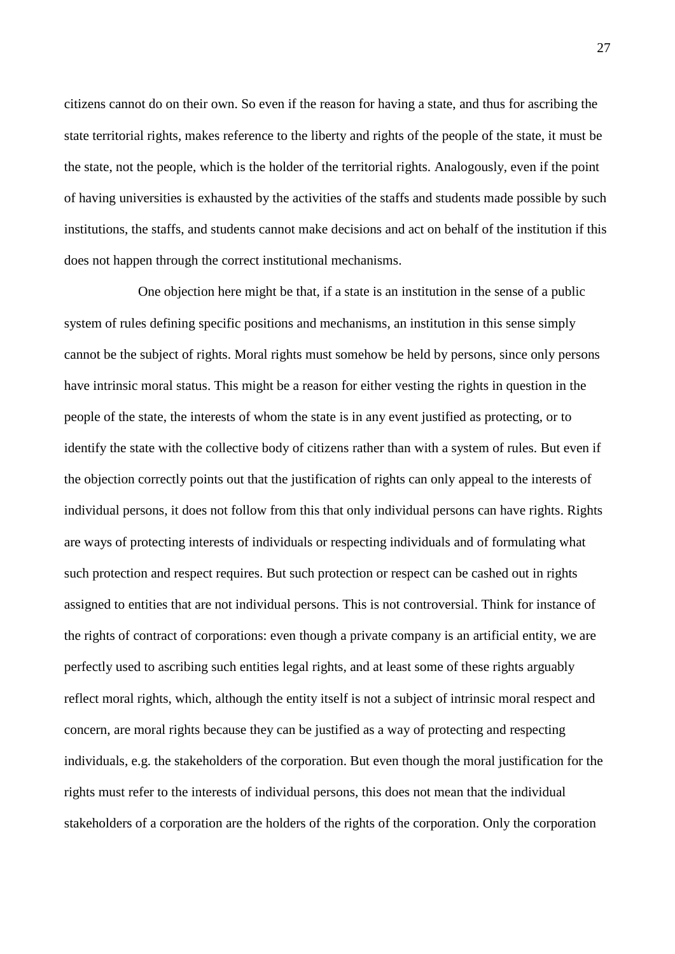citizens cannot do on their own. So even if the reason for having a state, and thus for ascribing the state territorial rights, makes reference to the liberty and rights of the people of the state, it must be the state, not the people, which is the holder of the territorial rights. Analogously, even if the point of having universities is exhausted by the activities of the staffs and students made possible by such institutions, the staffs, and students cannot make decisions and act on behalf of the institution if this does not happen through the correct institutional mechanisms.

One objection here might be that, if a state is an institution in the sense of a public system of rules defining specific positions and mechanisms, an institution in this sense simply cannot be the subject of rights. Moral rights must somehow be held by persons, since only persons have intrinsic moral status. This might be a reason for either vesting the rights in question in the people of the state, the interests of whom the state is in any event justified as protecting, or to identify the state with the collective body of citizens rather than with a system of rules. But even if the objection correctly points out that the justification of rights can only appeal to the interests of individual persons, it does not follow from this that only individual persons can have rights. Rights are ways of protecting interests of individuals or respecting individuals and of formulating what such protection and respect requires. But such protection or respect can be cashed out in rights assigned to entities that are not individual persons. This is not controversial. Think for instance of the rights of contract of corporations: even though a private company is an artificial entity, we are perfectly used to ascribing such entities legal rights, and at least some of these rights arguably reflect moral rights, which, although the entity itself is not a subject of intrinsic moral respect and concern, are moral rights because they can be justified as a way of protecting and respecting individuals, e.g. the stakeholders of the corporation. But even though the moral justification for the rights must refer to the interests of individual persons, this does not mean that the individual stakeholders of a corporation are the holders of the rights of the corporation. Only the corporation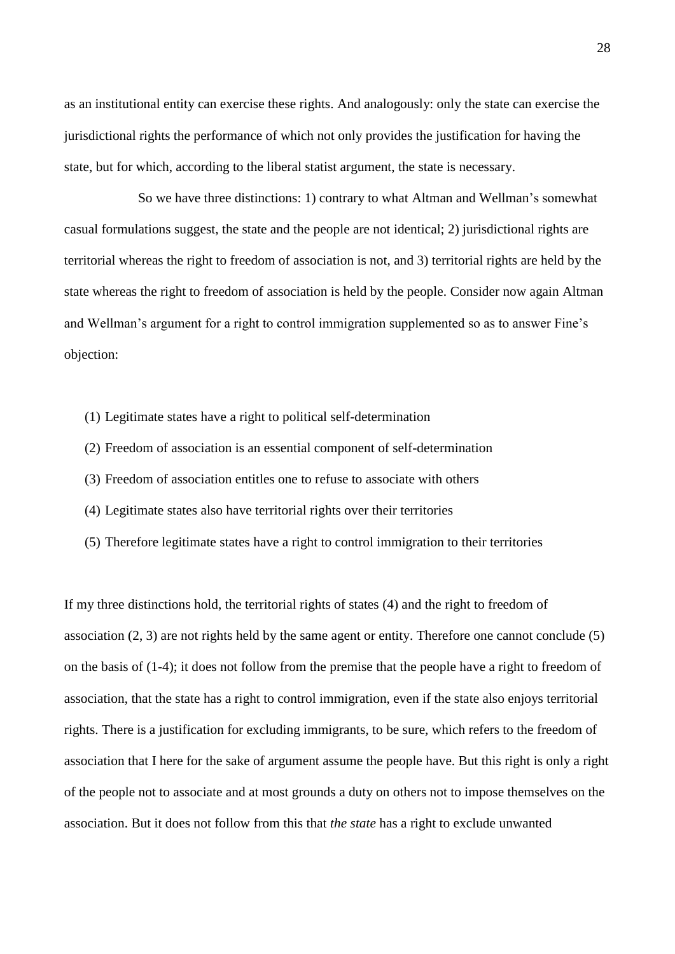as an institutional entity can exercise these rights. And analogously: only the state can exercise the jurisdictional rights the performance of which not only provides the justification for having the state, but for which, according to the liberal statist argument, the state is necessary.

So we have three distinctions: 1) contrary to what Altman and Wellman's somewhat casual formulations suggest, the state and the people are not identical; 2) jurisdictional rights are territorial whereas the right to freedom of association is not, and 3) territorial rights are held by the state whereas the right to freedom of association is held by the people. Consider now again Altman and Wellman's argument for a right to control immigration supplemented so as to answer Fine's objection:

- (1) Legitimate states have a right to political self-determination
- (2) Freedom of association is an essential component of self-determination
- (3) Freedom of association entitles one to refuse to associate with others
- (4) Legitimate states also have territorial rights over their territories
- (5) Therefore legitimate states have a right to control immigration to their territories

If my three distinctions hold, the territorial rights of states (4) and the right to freedom of association (2, 3) are not rights held by the same agent or entity. Therefore one cannot conclude (5) on the basis of (1-4); it does not follow from the premise that the people have a right to freedom of association, that the state has a right to control immigration, even if the state also enjoys territorial rights. There is a justification for excluding immigrants, to be sure, which refers to the freedom of association that I here for the sake of argument assume the people have. But this right is only a right of the people not to associate and at most grounds a duty on others not to impose themselves on the association. But it does not follow from this that *the state* has a right to exclude unwanted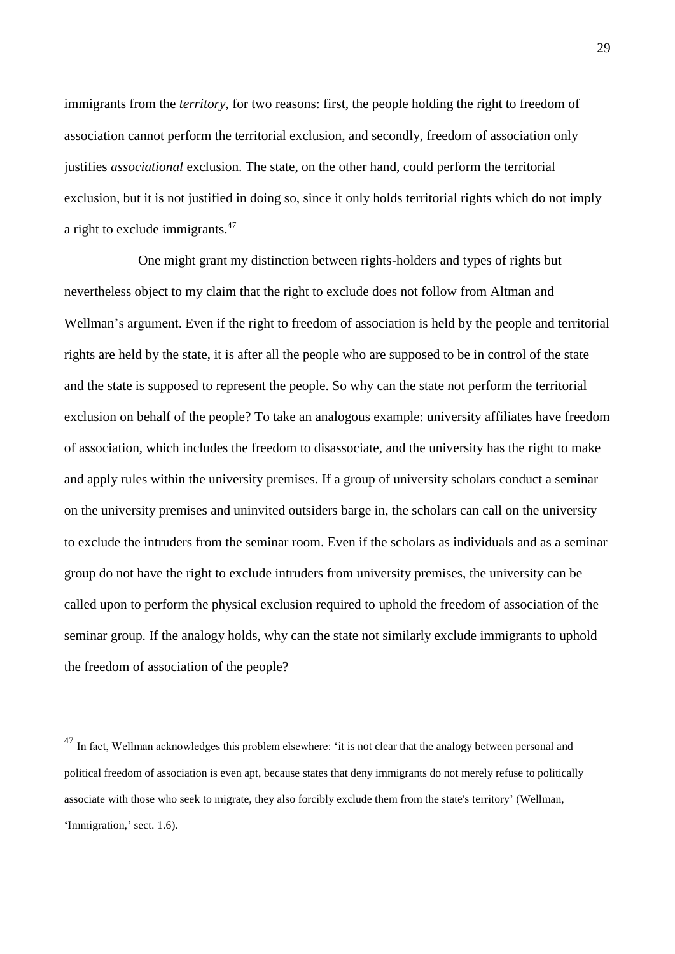immigrants from the *territory*, for two reasons: first, the people holding the right to freedom of association cannot perform the territorial exclusion, and secondly, freedom of association only justifies *associational* exclusion. The state, on the other hand, could perform the territorial exclusion, but it is not justified in doing so, since it only holds territorial rights which do not imply a right to exclude immigrants.<sup>47</sup>

One might grant my distinction between rights-holders and types of rights but nevertheless object to my claim that the right to exclude does not follow from Altman and Wellman's argument. Even if the right to freedom of association is held by the people and territorial rights are held by the state, it is after all the people who are supposed to be in control of the state and the state is supposed to represent the people. So why can the state not perform the territorial exclusion on behalf of the people? To take an analogous example: university affiliates have freedom of association, which includes the freedom to disassociate, and the university has the right to make and apply rules within the university premises. If a group of university scholars conduct a seminar on the university premises and uninvited outsiders barge in, the scholars can call on the university to exclude the intruders from the seminar room. Even if the scholars as individuals and as a seminar group do not have the right to exclude intruders from university premises, the university can be called upon to perform the physical exclusion required to uphold the freedom of association of the seminar group. If the analogy holds, why can the state not similarly exclude immigrants to uphold the freedom of association of the people?

 $^{47}$  In fact, Wellman acknowledges this problem elsewhere: 'it is not clear that the analogy between personal and political freedom of association is even apt, because states that deny immigrants do not merely refuse to politically associate with those who seek to migrate, they also forcibly exclude them from the state's territory' (Wellman, 'Immigration,' sect. 1.6).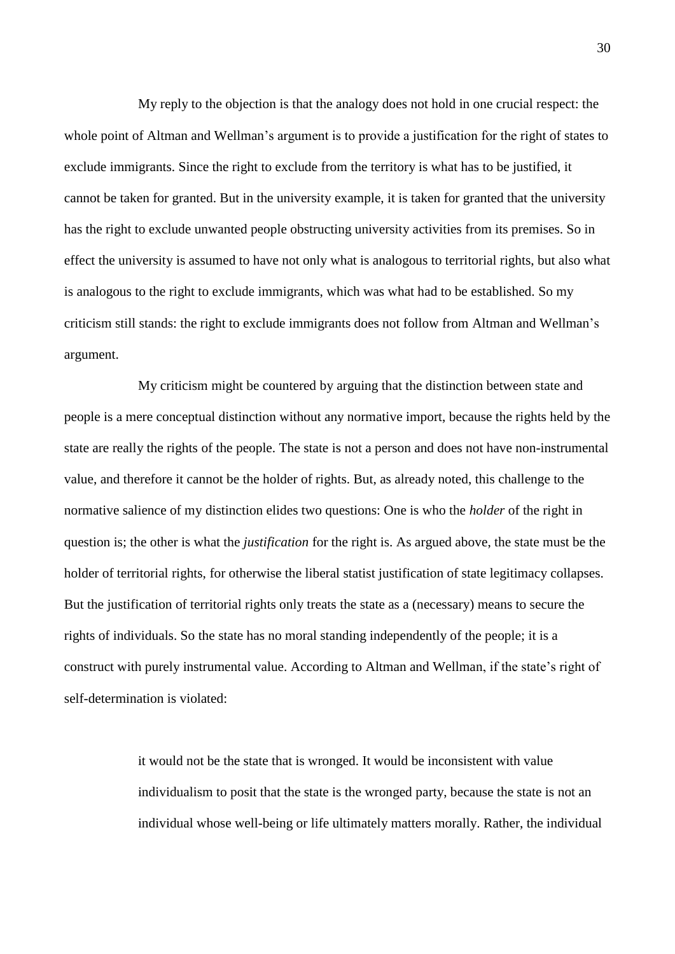My reply to the objection is that the analogy does not hold in one crucial respect: the whole point of Altman and Wellman's argument is to provide a justification for the right of states to exclude immigrants. Since the right to exclude from the territory is what has to be justified, it cannot be taken for granted. But in the university example, it is taken for granted that the university has the right to exclude unwanted people obstructing university activities from its premises. So in effect the university is assumed to have not only what is analogous to territorial rights, but also what is analogous to the right to exclude immigrants, which was what had to be established. So my criticism still stands: the right to exclude immigrants does not follow from Altman and Wellman's argument.

My criticism might be countered by arguing that the distinction between state and people is a mere conceptual distinction without any normative import, because the rights held by the state are really the rights of the people. The state is not a person and does not have non-instrumental value, and therefore it cannot be the holder of rights. But, as already noted, this challenge to the normative salience of my distinction elides two questions: One is who the *holder* of the right in question is; the other is what the *justification* for the right is. As argued above, the state must be the holder of territorial rights, for otherwise the liberal statist justification of state legitimacy collapses. But the justification of territorial rights only treats the state as a (necessary) means to secure the rights of individuals. So the state has no moral standing independently of the people; it is a construct with purely instrumental value. According to Altman and Wellman, if the state's right of self-determination is violated:

> it would not be the state that is wronged. It would be inconsistent with value individualism to posit that the state is the wronged party, because the state is not an individual whose well-being or life ultimately matters morally. Rather, the individual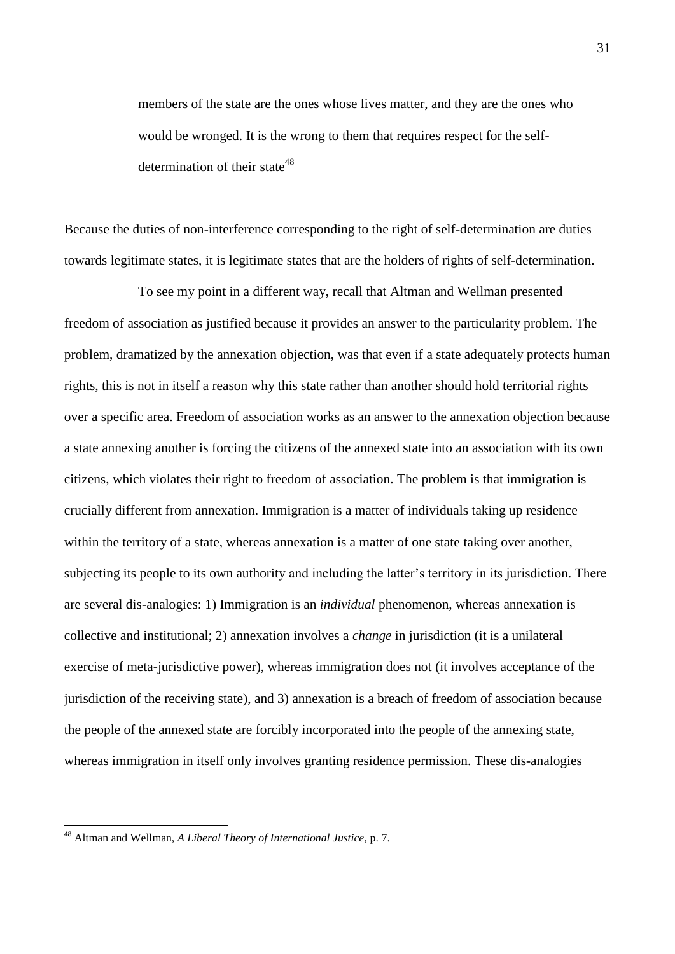members of the state are the ones whose lives matter, and they are the ones who would be wronged. It is the wrong to them that requires respect for the selfdetermination of their state<sup>48</sup>

Because the duties of non-interference corresponding to the right of self-determination are duties towards legitimate states, it is legitimate states that are the holders of rights of self-determination.

To see my point in a different way, recall that Altman and Wellman presented freedom of association as justified because it provides an answer to the particularity problem. The problem, dramatized by the annexation objection, was that even if a state adequately protects human rights, this is not in itself a reason why this state rather than another should hold territorial rights over a specific area. Freedom of association works as an answer to the annexation objection because a state annexing another is forcing the citizens of the annexed state into an association with its own citizens, which violates their right to freedom of association. The problem is that immigration is crucially different from annexation. Immigration is a matter of individuals taking up residence within the territory of a state, whereas annexation is a matter of one state taking over another, subjecting its people to its own authority and including the latter's territory in its jurisdiction. There are several dis-analogies: 1) Immigration is an *individual* phenomenon, whereas annexation is collective and institutional; 2) annexation involves a *change* in jurisdiction (it is a unilateral exercise of meta-jurisdictive power), whereas immigration does not (it involves acceptance of the jurisdiction of the receiving state), and 3) annexation is a breach of freedom of association because the people of the annexed state are forcibly incorporated into the people of the annexing state, whereas immigration in itself only involves granting residence permission. These dis-analogies

<u>.</u>

<sup>48</sup> Altman and Wellman, *A Liberal Theory of International Justice*, p. 7.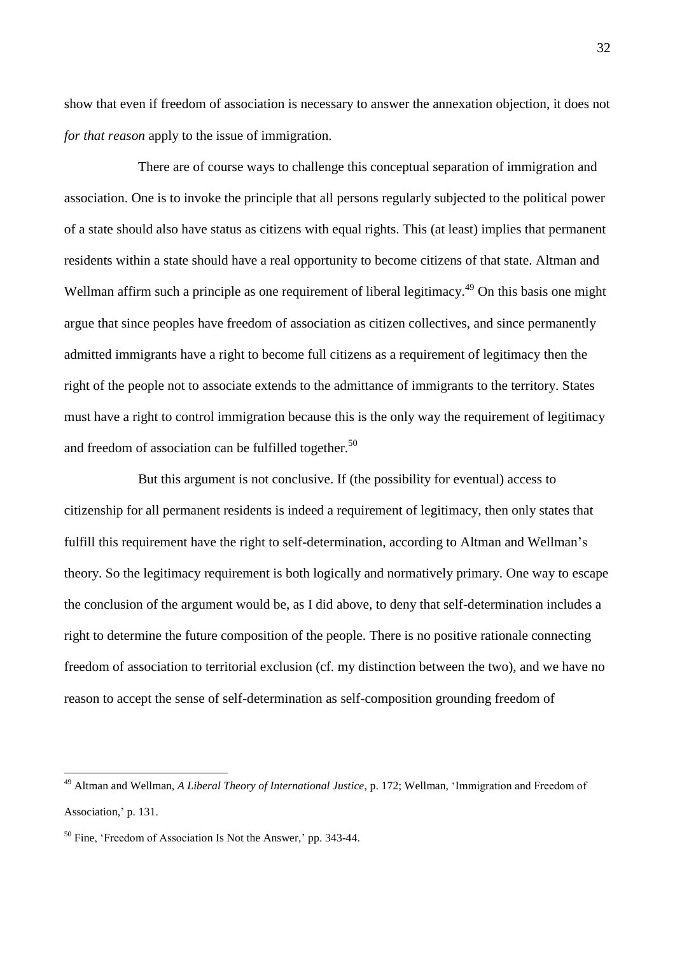show that even if freedom of association is necessary to answer the annexation objection, it does not *for that reason* apply to the issue of immigration.

There are of course ways to challenge this conceptual separation of immigration and association. One is to invoke the principle that all persons regularly subjected to the political power of a state should also have status as citizens with equal rights. This (at least) implies that permanent residents within a state should have a real opportunity to become citizens of that state. Altman and Wellman affirm such a principle as one requirement of liberal legitimacy.<sup>49</sup> On this basis one might argue that since peoples have freedom of association as citizen collectives, and since permanently admitted immigrants have a right to become full citizens as a requirement of legitimacy then the right of the people not to associate extends to the admittance of immigrants to the territory. States must have a right to control immigration because this is the only way the requirement of legitimacy and freedom of association can be fulfilled together. 50

But this argument is not conclusive. If (the possibility for eventual) access to citizenship for all permanent residents is indeed a requirement of legitimacy, then only states that fulfill this requirement have the right to self-determination, according to Altman and Wellman's theory. So the legitimacy requirement is both logically and normatively primary. One way to escape the conclusion of the argument would be, as I did above, to deny that self-determination includes a right to determine the future composition of the people. There is no positive rationale connecting freedom of association to territorial exclusion (cf. my distinction between the two), and we have no reason to accept the sense of self-determination as self-composition grounding freedom of

<sup>49</sup> Altman and Wellman, *A Liberal Theory of International Justice*, p. 172; Wellman, 'Immigration and Freedom of Association,' p. 131.

<sup>50</sup> Fine, 'Freedom of Association Is Not the Answer,' pp. 343-44.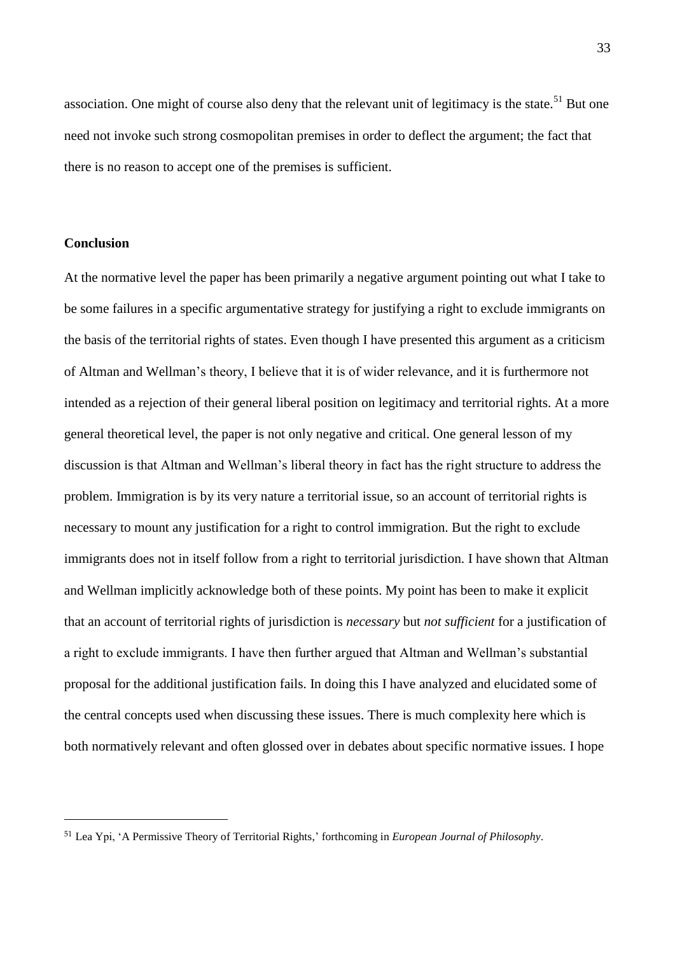association. One might of course also deny that the relevant unit of legitimacy is the state.<sup>51</sup> But one need not invoke such strong cosmopolitan premises in order to deflect the argument; the fact that there is no reason to accept one of the premises is sufficient.

#### **Conclusion**

1

At the normative level the paper has been primarily a negative argument pointing out what I take to be some failures in a specific argumentative strategy for justifying a right to exclude immigrants on the basis of the territorial rights of states. Even though I have presented this argument as a criticism of Altman and Wellman's theory, I believe that it is of wider relevance, and it is furthermore not intended as a rejection of their general liberal position on legitimacy and territorial rights. At a more general theoretical level, the paper is not only negative and critical. One general lesson of my discussion is that Altman and Wellman's liberal theory in fact has the right structure to address the problem. Immigration is by its very nature a territorial issue, so an account of territorial rights is necessary to mount any justification for a right to control immigration. But the right to exclude immigrants does not in itself follow from a right to territorial jurisdiction. I have shown that Altman and Wellman implicitly acknowledge both of these points. My point has been to make it explicit that an account of territorial rights of jurisdiction is *necessary* but *not sufficient* for a justification of a right to exclude immigrants. I have then further argued that Altman and Wellman's substantial proposal for the additional justification fails. In doing this I have analyzed and elucidated some of the central concepts used when discussing these issues. There is much complexity here which is both normatively relevant and often glossed over in debates about specific normative issues. I hope

<sup>51</sup> Lea Ypi, 'A Permissive Theory of Territorial Rights,' forthcoming in *European Journal of Philosophy*.